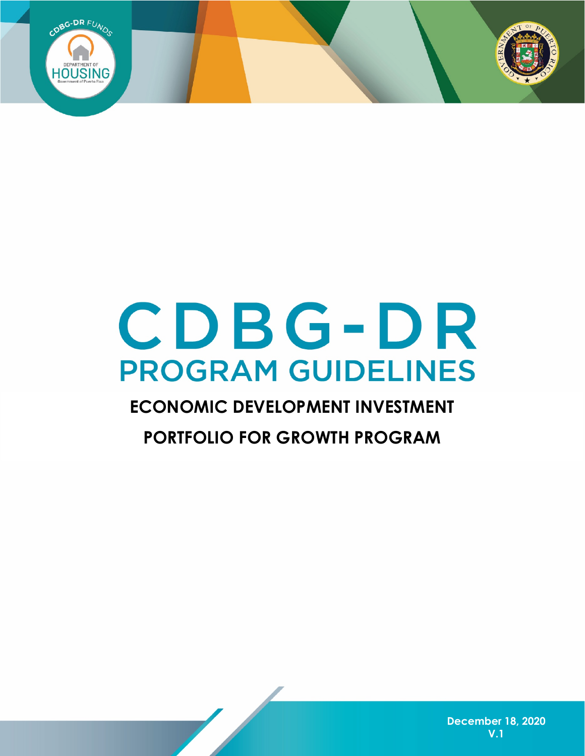



# CDBG-DR **PROGRAM GUIDELINES**

# **ECONOMIC DEVELOPMENT INVESTMENT**

**PORTFOLIO FOR GROWTH PROGRAM**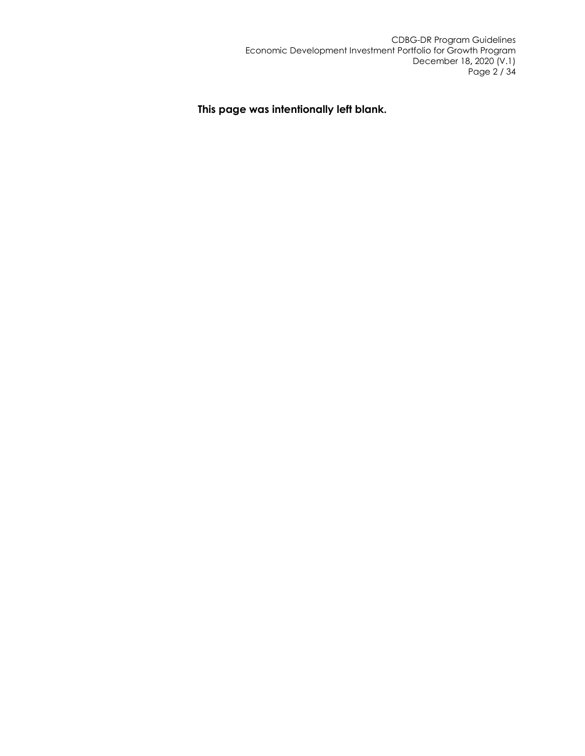**This page was intentionally left blank.**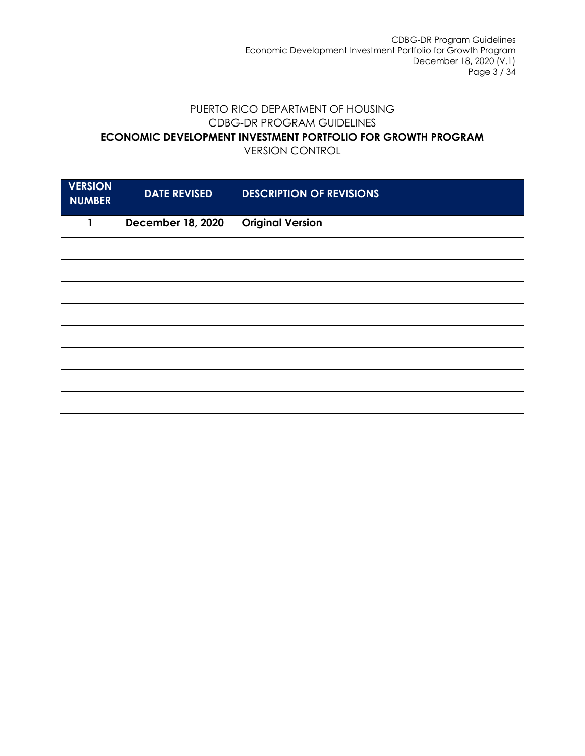#### PUERTO RICO DEPARTMENT OF HOUSING CDBG-DR PROGRAM GUIDELINES **ECONOMIC DEVELOPMENT INVESTMENT PORTFOLIO FOR GROWTH PROGRAM** VERSION CONTROL

**VERSION NUMBER DATE REVISED DESCRIPTION OF REVISIONS 1 December 18, 2020 Original Version**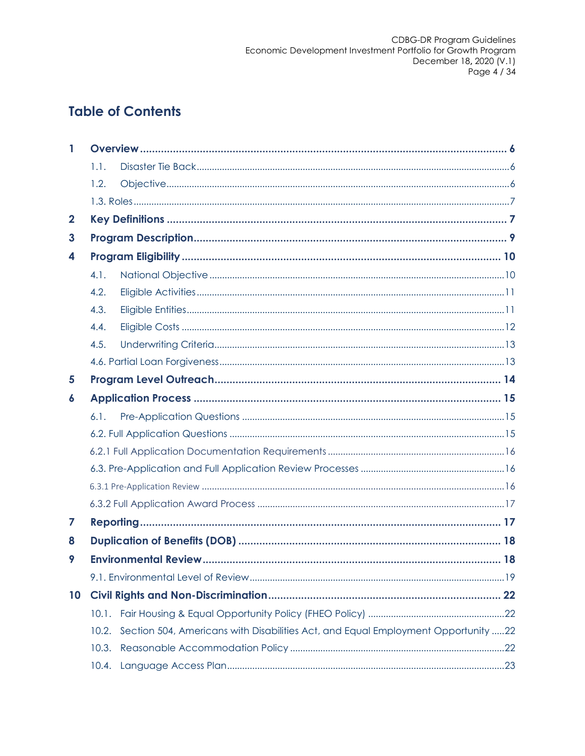# **Table of Contents**

|             | 1.1.                                                                                       |  |  |
|-------------|--------------------------------------------------------------------------------------------|--|--|
|             | 1.2.                                                                                       |  |  |
|             |                                                                                            |  |  |
| $\mathbf 2$ |                                                                                            |  |  |
| 3           |                                                                                            |  |  |
| 4           |                                                                                            |  |  |
|             | 4.1.                                                                                       |  |  |
|             | 4.2.                                                                                       |  |  |
|             | 4.3.                                                                                       |  |  |
|             | 4.4.                                                                                       |  |  |
|             | 4.5.                                                                                       |  |  |
|             |                                                                                            |  |  |
| 5           |                                                                                            |  |  |
| 6           |                                                                                            |  |  |
|             | 6.1.                                                                                       |  |  |
|             |                                                                                            |  |  |
|             |                                                                                            |  |  |
|             |                                                                                            |  |  |
|             |                                                                                            |  |  |
|             |                                                                                            |  |  |
| 7           |                                                                                            |  |  |
| 8           |                                                                                            |  |  |
| 9           |                                                                                            |  |  |
|             |                                                                                            |  |  |
| 10          |                                                                                            |  |  |
|             | 10.1.                                                                                      |  |  |
|             | Section 504, Americans with Disabilities Act, and Equal Employment Opportunity 22<br>10.2. |  |  |
|             | 10.3.                                                                                      |  |  |
|             | 10.4.                                                                                      |  |  |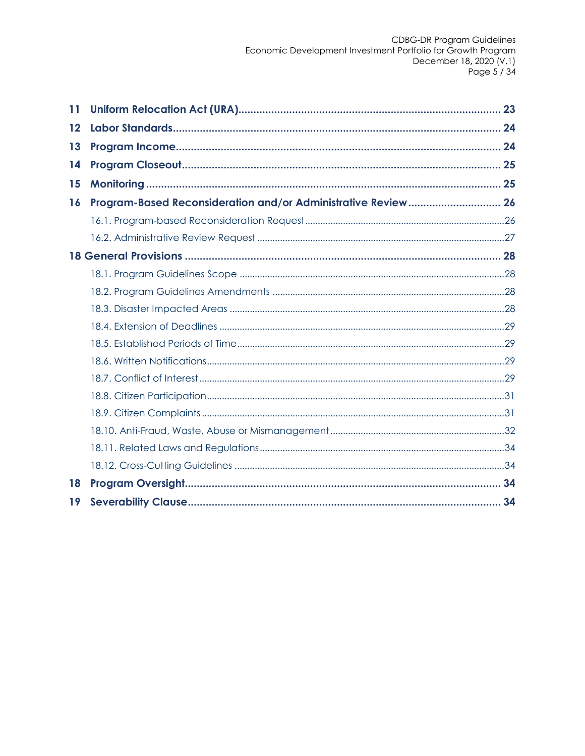| 11 |                                                               |  |
|----|---------------------------------------------------------------|--|
| 12 |                                                               |  |
| 13 |                                                               |  |
| 14 |                                                               |  |
| 15 |                                                               |  |
| 16 | Program-Based Reconsideration and/or Administrative Review 26 |  |
|    |                                                               |  |
|    |                                                               |  |
|    |                                                               |  |
|    |                                                               |  |
|    |                                                               |  |
|    |                                                               |  |
|    |                                                               |  |
|    |                                                               |  |
|    |                                                               |  |
|    |                                                               |  |
|    |                                                               |  |
|    |                                                               |  |
|    |                                                               |  |
|    |                                                               |  |
|    |                                                               |  |
| 18 |                                                               |  |
| 19 |                                                               |  |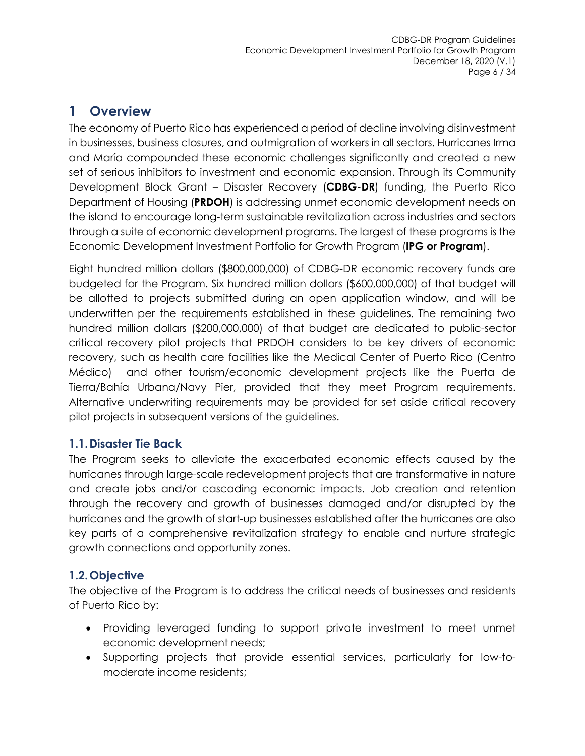# <span id="page-5-0"></span>**1 Overview**

The economy of Puerto Rico has experienced a period of decline involving disinvestment in businesses, business closures, and outmigration of workers in all sectors. Hurricanes Irma and María compounded these economic challenges significantly and created a new set of serious inhibitors to investment and economic expansion. Through its Community Development Block Grant – Disaster Recovery (**CDBG-DR**) funding, the Puerto Rico Department of Housing (**PRDOH**) is addressing unmet economic development needs on the island to encourage long-term sustainable revitalization across industries and sectors through a suite of economic development programs. The largest of these programs is the Economic Development Investment Portfolio for Growth Program (**IPG or Program**).

Eight hundred million dollars (\$800,000,000) of CDBG-DR economic recovery funds are budgeted for the Program. Six hundred million dollars (\$600,000,000) of that budget will be allotted to projects submitted during an open application window, and will be underwritten per the requirements established in these guidelines. The remaining two hundred million dollars (\$200,000,000) of that budget are dedicated to public-sector critical recovery pilot projects that PRDOH considers to be key drivers of economic recovery, such as health care facilities like the Medical Center of Puerto Rico (Centro Médico) and other tourism/economic development projects like the Puerta de Tierra/Bahía Urbana/Navy Pier, provided that they meet Program requirements. Alternative underwriting requirements may be provided for set aside critical recovery pilot projects in subsequent versions of the guidelines.

#### <span id="page-5-1"></span>**1.1.Disaster Tie Back**

The Program seeks to alleviate the exacerbated economic effects caused by the hurricanes through large-scale redevelopment projects that are transformative in nature and create jobs and/or cascading economic impacts. Job creation and retention through the recovery and growth of businesses damaged and/or disrupted by the hurricanes and the growth of start-up businesses established after the hurricanes are also key parts of a comprehensive revitalization strategy to enable and nurture strategic growth connections and opportunity zones.

#### <span id="page-5-2"></span>**1.2.Objective**

The objective of the Program is to address the critical needs of businesses and residents of Puerto Rico by:

- Providing leveraged funding to support private investment to meet unmet economic development needs;
- Supporting projects that provide essential services, particularly for low-tomoderate income residents;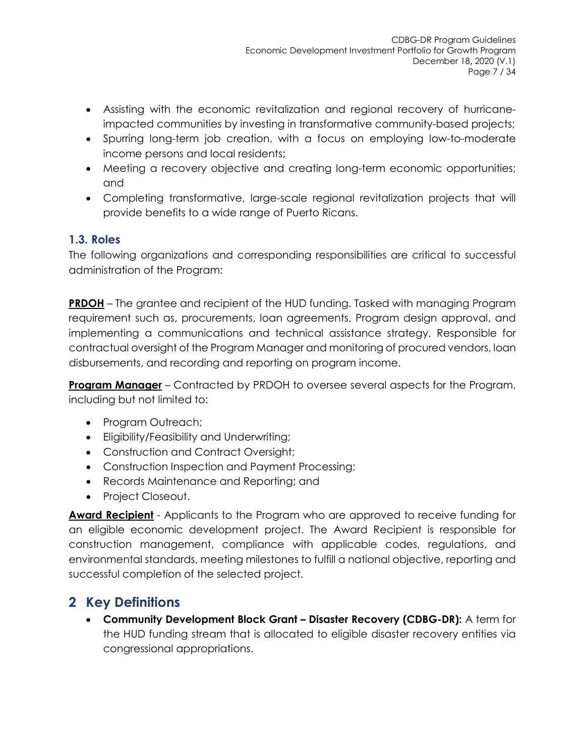- Assisting with the economic revitalization and regional recovery of hurricaneimpacted communities by investing in transformative community-based projects;
- Spurring long-term job creation, with a focus on employing low-to-moderate income persons and local residents;
- Meeting a recovery objective and creating long-term economic opportunities; and
- Completing transformative, large-scale regional revitalization projects that will provide benefits to a wide range of Puerto Ricans.

#### <span id="page-6-0"></span>**1.3. Roles**

The following organizations and corresponding responsibilities are critical to successful administration of the Program:

**PRDOH** – The grantee and recipient of the HUD funding. Tasked with managing Program requirement such as, procurements, loan agreements, Program design approval, and implementing a communications and technical assistance strategy. Responsible for contractual oversight of the Program Manager and monitoring of procured vendors, loan disbursements, and recording and reporting on program income.

**Program Manager** – Contracted by PRDOH to oversee several aspects for the Program, including but not limited to:

- Program Outreach;
- Eligibility/Feasibility and Underwriting;
- Construction and Contract Oversight;
- Construction Inspection and Payment Processing;
- Records Maintenance and Reporting; and
- Project Closeout.

**Award Recipient** - Applicants to the Program who are approved to receive funding for an eligible economic development project. The Award Recipient is responsible for construction management, compliance with applicable codes, regulations, and environmental standards, meeting milestones to fulfill a national objective, reporting and successful completion of the selected project.

# <span id="page-6-1"></span>**2 Key Definitions**

• **Community Development Block Grant – Disaster Recovery (CDBG-DR):** A term for the HUD funding stream that is allocated to eligible disaster recovery entities via congressional appropriations.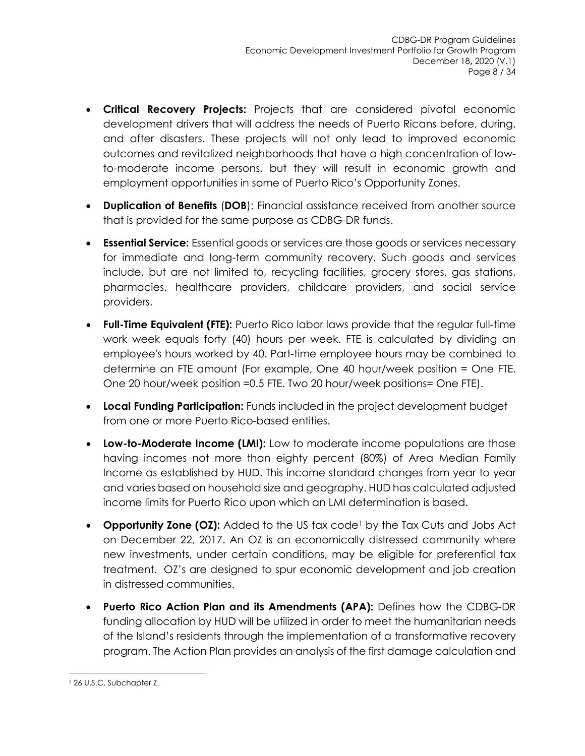- **Critical Recovery Projects:** Projects that are considered pivotal economic development drivers that will address the needs of Puerto Ricans before, during, and after disasters. These projects will not only lead to improved economic outcomes and revitalized neighborhoods that have a high concentration of lowto-moderate income persons, but they will result in economic growth and employment opportunities in some of Puerto Rico's Opportunity Zones.
- **Duplication of Benefits** (**DOB**): Financial assistance received from another source that is provided for the same purpose as CDBG-DR funds.
- **Essential Service:** Essential goods or services are those goods or services necessary for immediate and long-term community recovery. Such goods and services include, but are not limited to, recycling facilities, grocery stores, gas stations, pharmacies, healthcare providers, childcare providers, and social service providers.
- **Full-Time Equivalent (FTE):** Puerto Rico labor laws provide that the regular full-time work week equals forty (40) hours per week. FTE is calculated by dividing an employee's hours worked by 40. Part-time employee hours may be combined to determine an FTE amount (For example, One 40 hour/week position = One FTE. One 20 hour/week position =0.5 FTE. Two 20 hour/week positions= One FTE).
- **Local Funding Participation:** Funds included in the project development budget from one or more Puerto Rico-based entities.
- **Low-to-Moderate Income (LMI):** Low to moderate income populations are those having incomes not more than eighty percent (80%) of Area Median Family Income as established by HUD. This income standard changes from year to year and varies based on household size and geography. HUD has calculated adjusted income limits for Puerto Rico upon which an LMI determination is based.
- **Opportunity Zone (OZ):** Added to the US tax code<sup>[1](#page-7-0)</sup> by the Tax Cuts and Jobs Act on December 22, 2017. An OZ is an economically distressed community where new investments, under certain conditions, may be eligible for preferential tax treatment. OZ's are designed to spur economic development and job creation in distressed communities.
- **Puerto Rico Action Plan and its Amendments (APA):** Defines how the CDBG-DR funding allocation by HUD will be utilized in order to meet the humanitarian needs of the Island's residents through the implementation of a transformative recovery program. The Action Plan provides an analysis of the first damage calculation and

<span id="page-7-0"></span> <sup>1</sup> 26 U.S.C. Subchapter Z.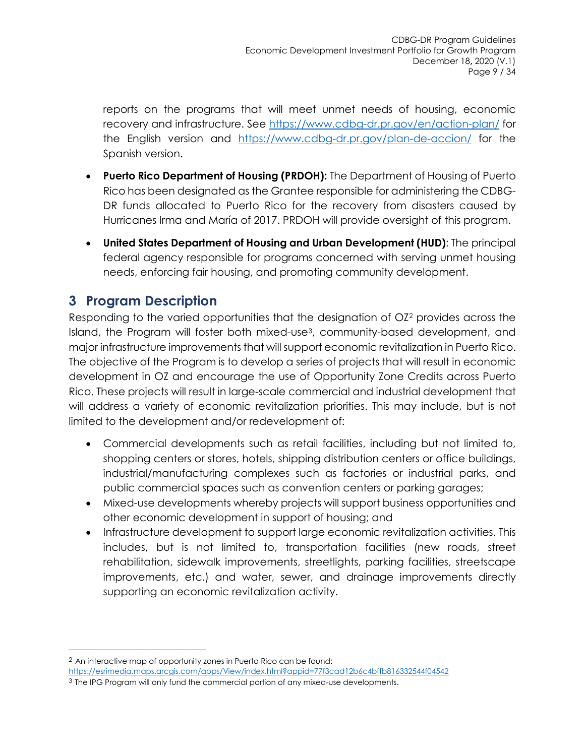reports on the programs that will meet unmet needs of housing, economic recovery and infrastructure. See<https://www.cdbg-dr.pr.gov/en/action-plan/> for the English version and <https://www.cdbg-dr.pr.gov/plan-de-accion/> for the Spanish version.

- **Puerto Rico Department of Housing (PRDOH):** The Department of Housing of Puerto Rico has been designated as the Grantee responsible for administering the CDBG-DR funds allocated to Puerto Rico for the recovery from disasters caused by Hurricanes Irma and María of 2017. PRDOH will provide oversight of this program.
- **United States Department of Housing and Urban Development (HUD)**: The principal federal agency responsible for programs concerned with serving unmet housing needs, enforcing fair housing, and promoting community development.

# <span id="page-8-0"></span>**3 Program Description**

Responding to the varied opportunities that the designation of OZ<sup>2</sup> provides across the Island, the Program will foster both mixed-use<sup>3</sup>, community-based development, and major infrastructure improvements that will support economic revitalization in Puerto Rico. The objective of the Program is to develop a series of projects that will result in economic development in OZ and encourage the use of Opportunity Zone Credits across Puerto Rico. These projects will result in large-scale commercial and industrial development that will address a variety of economic revitalization priorities. This may include, but is not limited to the development and/or redevelopment of:

- Commercial developments such as retail facilities, including but not limited to, shopping centers or stores, hotels, shipping distribution centers or office buildings, industrial/manufacturing complexes such as factories or industrial parks, and public commercial spaces such as convention centers or parking garages;
- Mixed-use developments whereby projects will support business opportunities and other economic development in support of housing; and
- Infrastructure development to support large economic revitalization activities. This includes, but is not limited to, transportation facilities (new roads, street rehabilitation, sidewalk improvements, streetlights, parking facilities, streetscape improvements, etc.) and water, sewer, and drainage improvements directly supporting an economic revitalization activity.

<span id="page-8-1"></span> <sup>2</sup> An interactive map of opportunity zones in Puerto Rico can be found: <https://esrimedia.maps.arcgis.com/apps/View/index.html?appid=77f3cad12b6c4bffb816332544f04542>

<span id="page-8-2"></span><sup>&</sup>lt;sup>3</sup> The IPG Program will only fund the commercial portion of any mixed-use developments.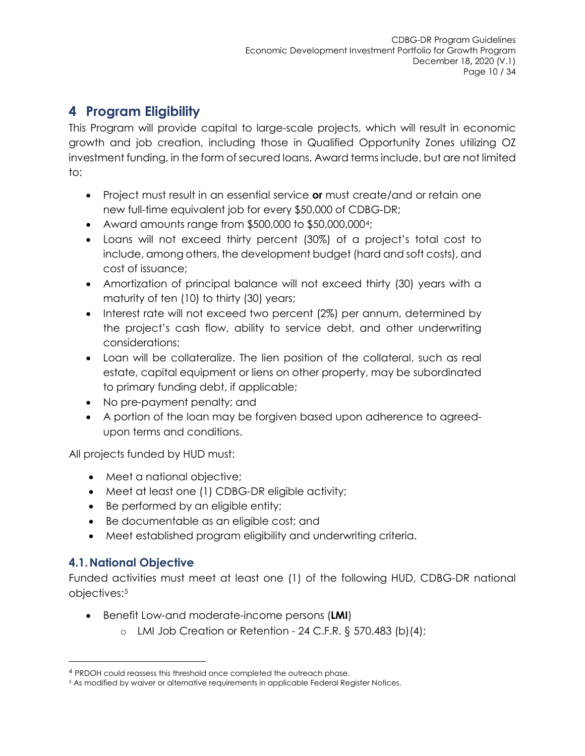# <span id="page-9-0"></span>**4 Program Eligibility**

This Program will provide capital to large-scale projects, which will result in economic growth and job creation, including those in Qualified Opportunity Zones utilizing OZ investment funding, in the form of secured loans. Award terms include, but are not limited to:

- Project must result in an essential service **or** must create/and or retain one new full-time equivalent job for every \$50,000 of CDBG-DR;
- Award amounts range from \$500,000 to \$50,000,000[4;](#page-9-2)
- Loans will not exceed thirty percent (30%) of a project's total cost to include, among others, the development budget (hard and soft costs), and cost of issuance;
- Amortization of principal balance will not exceed thirty (30) years with a maturity of ten (10) to thirty (30) years;
- Interest rate will not exceed two percent (2%) per annum, determined by the project's cash flow, ability to service debt, and other underwriting considerations;
- Loan will be collateralize. The lien position of the collateral, such as real estate, capital equipment or liens on other property, may be subordinated to primary funding debt, if applicable;
- No pre-payment penalty; and
- A portion of the loan may be forgiven based upon adherence to agreedupon terms and conditions.

All projects funded by HUD must:

- Meet a national objective;
- Meet at least one (1) CDBG-DR eligible activity;
- Be performed by an eligible entity;
- Be documentable as an eligible cost; and
- Meet established program eligibility and underwriting criteria.

# <span id="page-9-1"></span>**4.1.National Objective**

Funded activities must meet at least one (1) of the following HUD, CDBG-DR national objectives:[5](#page-9-3)

- Benefit Low-and moderate-income persons (**LMI**)
	- o LMI Job Creation or Retention 24 C.F.R. § 570.483 (b)(4);

<span id="page-9-2"></span> <sup>4</sup> PRDOH could reassess this threshold once completed the outreach phase.

<span id="page-9-3"></span><sup>5</sup> As modified by waiver or alternative requirements in applicable Federal Register Notices.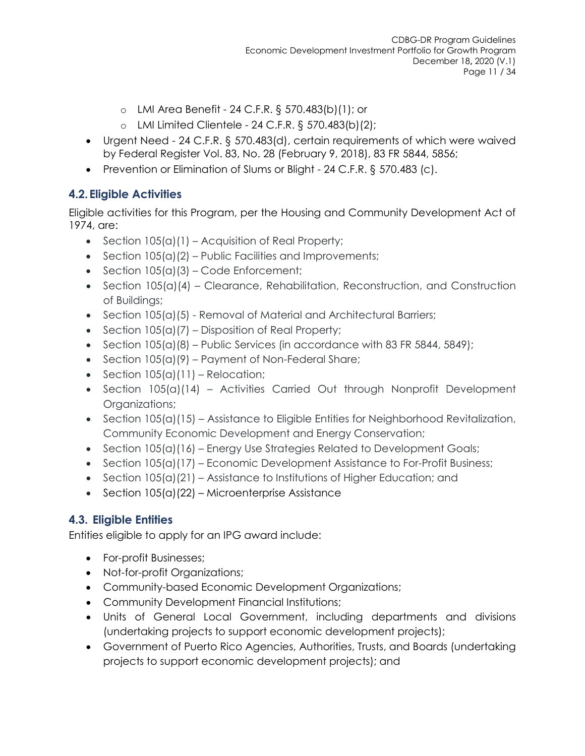- o LMI Area Benefit 24 C.F.R. § 570.483(b)(1); or
- o LMI Limited Clientele 24 C.F.R. § 570.483(b)(2);
- Urgent Need 24 C.F.R. § 570.483(d), certain requirements of which were waived by Federal Register Vol. 83, No. 28 (February 9, 2018), 83 FR 5844, 5856;
- Prevention or Elimination of Slums or Blight 24 C.F.R. § 570.483 (c).

# <span id="page-10-0"></span>**4.2.Eligible Activities**

Eligible activities for this Program, per the Housing and Community Development Act of 1974, are:

- Section  $105(a)(1)$  Acquisition of Real Property;
- Section 105(a)(2) Public Facilities and Improvements;
- Section 105(a)(3) Code Enforcement;
- Section  $105(a)(4)$  Clearance, Rehabilitation, Reconstruction, and Construction of Buildings;
- Section 105(a)(5) Removal of Material and Architectural Barriers;
- Section  $105(a)(7)$  Disposition of Real Property;
- Section  $105(a)(8)$  Public Services (in accordance with 83 FR 5844, 5849);
- Section 105(a)(9) Payment of Non-Federal Share;
- Section  $105(a)(11)$  Relocation;
- Section 105(a)(14) Activities Carried Out through Nonprofit Development Organizations;
- Section 105(a)(15) Assistance to Eligible Entities for Neighborhood Revitalization, Community Economic Development and Energy Conservation;
- Section 105(a)(16) Energy Use Strategies Related to Development Goals;
- Section 105(a)(17) Economic Development Assistance to For-Profit Business;
- Section  $105(a)(21)$  Assistance to Institutions of Higher Education; and
- <span id="page-10-1"></span>• Section 105(a)(22) – Microenterprise Assistance

#### **4.3. Eligible Entities**

Entities eligible to apply for an IPG award include:

- For-profit Businesses;
- Not-for-profit Organizations;
- Community-based Economic Development Organizations;
- Community Development Financial Institutions;
- Units of General Local Government, including departments and divisions (undertaking projects to support economic development projects);
- Government of Puerto Rico Agencies, Authorities, Trusts, and Boards (undertaking projects to support economic development projects); and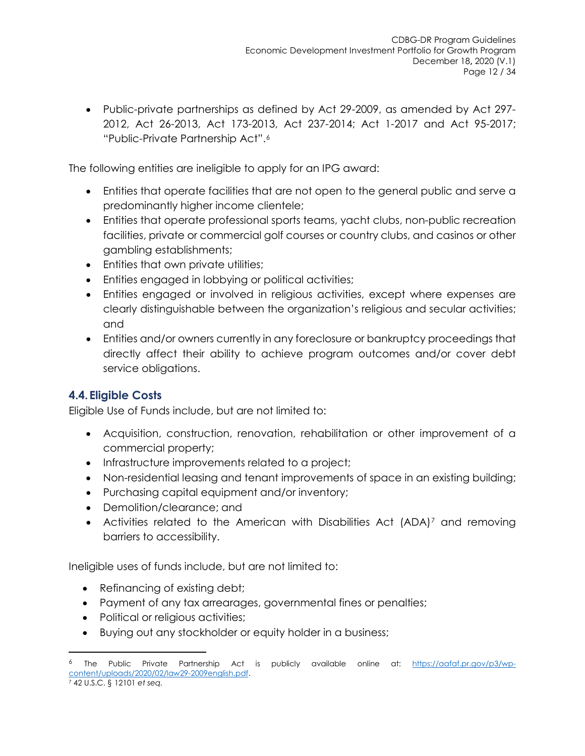• Public-private partnerships as defined by Act 29-2009, as amended by Act 297- 2012, Act 26-2013, Act 173-2013, Act 237-2014; Act 1-2017 and Act 95-2017; "Public-Private Partnership Act".[6](#page-11-1)

The following entities are ineligible to apply for an IPG award:

- Entities that operate facilities that are not open to the general public and serve a predominantly higher income clientele;
- Entities that operate professional sports teams, yacht clubs, non-public recreation facilities, private or commercial golf courses or country clubs, and casinos or other gambling establishments;
- Entities that own private utilities;
- Entities engaged in lobbying or political activities;
- Entities engaged or involved in religious activities, except where expenses are clearly distinguishable between the organization's religious and secular activities; and
- Entities and/or owners currently in any foreclosure or bankruptcy proceedings that directly affect their ability to achieve program outcomes and/or cover debt service obligations.

#### <span id="page-11-0"></span>**4.4.Eligible Costs**

Eligible Use of Funds include, but are not limited to:

- Acquisition, construction, renovation, rehabilitation or other improvement of a commercial property;
- Infrastructure improvements related to a project;
- Non-residential leasing and tenant improvements of space in an existing building;
- Purchasing capital equipment and/or inventory;
- Demolition/clearance; and
- Activities related to the American with Disabilities Act (ADA)<sup>[7](#page-11-2)</sup> and removing barriers to accessibility.

Ineligible uses of funds include, but are not limited to:

- Refinancing of existing debt;
- Payment of any tax arrearages, governmental fines or penalties;
- Political or religious activities;
- Buying out any stockholder or equity holder in a business;

<span id="page-11-2"></span><sup>7</sup> 42 U.S.C. § 12101 *et seq.*

<span id="page-11-1"></span> <sup>6</sup> The Public Private Partnership Act is publicly available online at: [https://aafaf.pr.gov/p3/wp](https://aafaf.pr.gov/p3/wp-content/uploads/2020/02/law29-2009english.pdf)[content/uploads/2020/02/law29-2009english.pdf.](https://aafaf.pr.gov/p3/wp-content/uploads/2020/02/law29-2009english.pdf)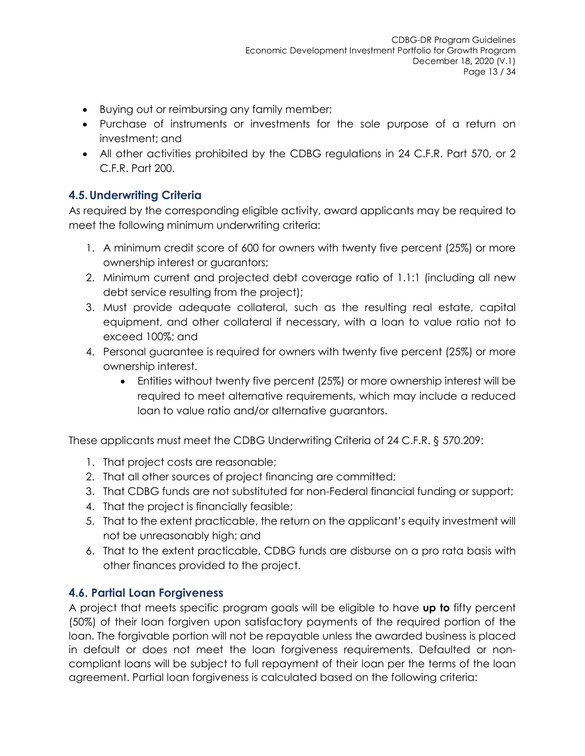- Buying out or reimbursing any family member;
- Purchase of instruments or investments for the sole purpose of a return on investment; and
- All other activities prohibited by the CDBG regulations in 24 C.F.R. Part 570, or 2 C.F.R. Part 200.

#### <span id="page-12-0"></span>**4.5.Underwriting Criteria**

As required by the corresponding eligible activity, award applicants may be required to meet the following minimum underwriting criteria:

- 1. A minimum credit score of 600 for owners with twenty five percent (25%) or more ownership interest or guarantors;
- 2. Minimum current and projected debt coverage ratio of 1.1:1 (including all new debt service resulting from the project);
- 3. Must provide adequate collateral, such as the resulting real estate, capital equipment, and other collateral if necessary, with a loan to value ratio not to exceed 100%; and
- 4. Personal guarantee is required for owners with twenty five percent (25%) or more ownership interest.
	- Entities without twenty five percent (25%) or more ownership interest will be required to meet alternative requirements, which may include a reduced loan to value ratio and/or alternative guarantors.

These applicants must meet the CDBG Underwriting Criteria of 24 C.F.R. § 570.209:

- 1. That project costs are reasonable;
- 2. That all other sources of project financing are committed;
- 3. That CDBG funds are not substituted for non-Federal financial funding or support;
- 4. That the project is financially feasible;
- 5. That to the extent practicable, the return on the applicant's equity investment will not be unreasonably high; and
- 6. That to the extent practicable, CDBG funds are disburse on a pro rata basis with other finances provided to the project.

#### <span id="page-12-1"></span>**4.6. Partial Loan Forgiveness**

A project that meets specific program goals will be eligible to have **up to** fifty percent (50%) of their loan forgiven upon satisfactory payments of the required portion of the loan. The forgivable portion will not be repayable unless the awarded business is placed in default or does not meet the loan forgiveness requirements. Defaulted or noncompliant loans will be subject to full repayment of their loan per the terms of the loan agreement. Partial loan forgiveness is calculated based on the following criteria: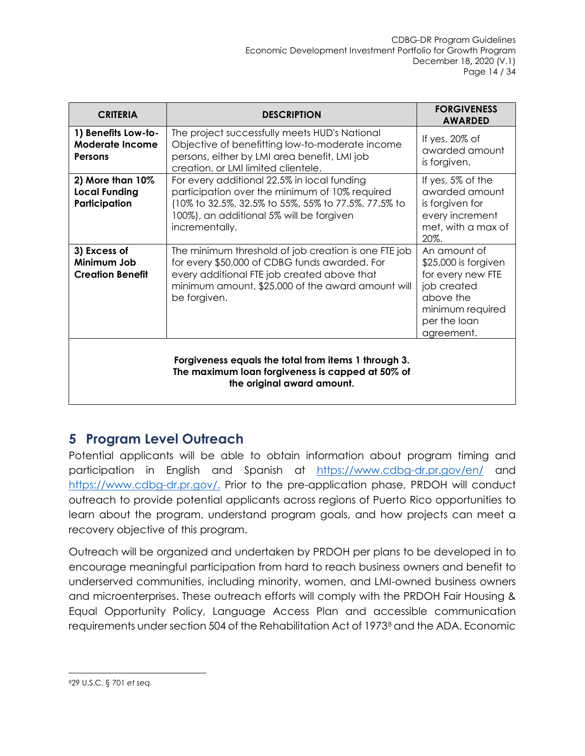| <b>CRITERIA</b>                                                                                                                        | <b>DESCRIPTION</b>                                                                                                                                                                                                        | <b>FORGIVENESS</b><br><b>AWARDED</b>                                                                                                     |  |  |
|----------------------------------------------------------------------------------------------------------------------------------------|---------------------------------------------------------------------------------------------------------------------------------------------------------------------------------------------------------------------------|------------------------------------------------------------------------------------------------------------------------------------------|--|--|
| 1) Benefits Low-to-<br><b>Moderate Income</b><br><b>Persons</b>                                                                        | The project successfully meets HUD's National<br>Objective of benefitting low-to-moderate income<br>persons, either by LMI area benefit, LMI job<br>creation, or LMI limited clientele.                                   | If yes, 20% of<br>awarded amount<br>is forgiven.                                                                                         |  |  |
| 2) More than 10%<br><b>Local Funding</b><br>Participation                                                                              | For every additional 22.5% in local funding<br>participation over the minimum of 10% required<br>(10% to 32.5%, 32.5% to 55%, 55% to 77.5%, 77.5% to<br>100%), an additional 5% will be forgiven<br>incrementally.        | If yes, 5% of the<br>awarded amount<br>is forgiven for<br>every increment<br>met, with a max of<br>20%.                                  |  |  |
| 3) Excess of<br>Minimum Job<br><b>Creation Benefit</b>                                                                                 | The minimum threshold of job creation is one FTE job<br>for every \$50,000 of CDBG funds awarded. For<br>every additional FTE job created above that<br>minimum amount, \$25,000 of the award amount will<br>be forgiven. | An amount of<br>$$25,000$ is forgiven<br>for every new FTE<br>job created<br>above the<br>minimum required<br>per the loan<br>agreement. |  |  |
| Forgiveness equals the total from items 1 through 3.<br>The maximum loan forgiveness is capped at 50% of<br>the original award amount. |                                                                                                                                                                                                                           |                                                                                                                                          |  |  |

# <span id="page-13-0"></span>**5 Program Level Outreach**

Potential applicants will be able to obtain information about program timing and participation in English and Spanish at <https://www.cdbg-dr.pr.gov/en/> and [https://www.cdbg-dr.pr.gov/.](https://www.cdbg-dr.pr.gov/) Prior to the pre-application phase, PRDOH will conduct outreach to provide potential applicants across regions of Puerto Rico opportunities to learn about the program, understand program goals, and how projects can meet a recovery objective of this program.

Outreach will be organized and undertaken by PRDOH per plans to be developed in to encourage meaningful participation from hard to reach business owners and benefit to underserved communities, including minority, women, and LMI-owned business owners and microenterprises. These outreach efforts will comply with the PRDOH Fair Housing & Equal Opportunity Policy, Language Access Plan and accessible communication requirements under section 504 of the Rehabilitation Act of 1973<sup>[8](#page-13-1)</sup> and the ADA. Economic

<span id="page-13-1"></span> <sup>829</sup> U.S.C. § 701 *et seq.*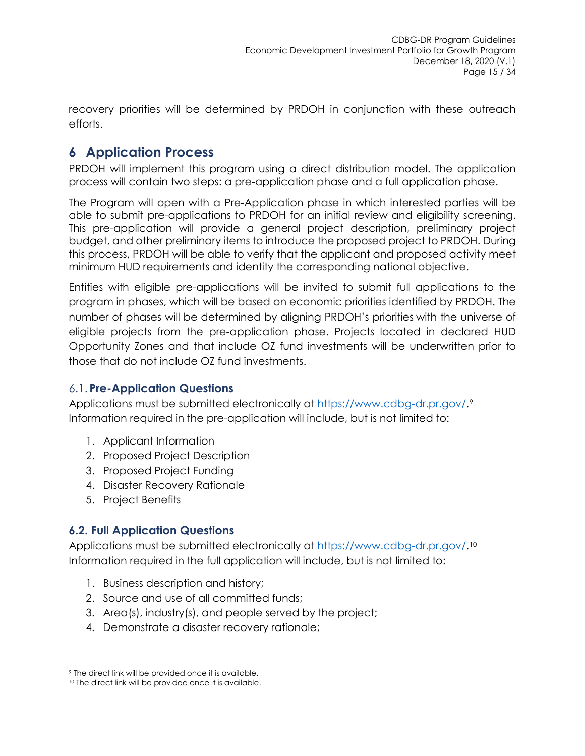recovery priorities will be determined by PRDOH in conjunction with these outreach efforts.

# <span id="page-14-0"></span>**6 Application Process**

PRDOH will implement this program using a direct distribution model. The application process will contain two steps: a pre-application phase and a full application phase.

The Program will open with a Pre-Application phase in which interested parties will be able to submit pre-applications to PRDOH for an initial review and eligibility screening. This pre-application will provide a general project description, preliminary project budget, and other preliminary items to introduce the proposed project to PRDOH. During this process, PRDOH will be able to verify that the applicant and proposed activity meet minimum HUD requirements and identity the corresponding national objective.

Entities with eligible pre-applications will be invited to submit full applications to the program in phases, which will be based on economic priorities identified by PRDOH. The number of phases will be determined by aligning PRDOH's priorities with the universe of eligible projects from the pre-application phase. Projects located in declared HUD Opportunity Zones and that include OZ fund investments will be underwritten prior to those that do not include O<sub>7</sub> fund investments.

#### <span id="page-14-1"></span>6.1. **Pre-Application Questions**

Applications must be submitted electronically at [https://www.cdbg-dr.pr.gov/.](https://www.cdbg-dr.pr.gov/)[9](#page-14-3) Information required in the pre-application will include, but is not limited to:

- 1. Applicant Information
- 2. Proposed Project Description
- 3. Proposed Project Funding
- 4. Disaster Recovery Rationale
- 5. Project Benefits

#### <span id="page-14-2"></span>**6.2. Full Application Questions**

Applications must be submitted electronically at [https://www.cdbg-dr.pr.gov/.](https://www.cdbg-dr.pr.gov/)<sup>[10](#page-14-4)</sup> Information required in the full application will include, but is not limited to:

- 1. Business description and history;
- 2. Source and use of all committed funds;
- 3. Area(s), industry(s), and people served by the project;
- 4. Demonstrate a disaster recovery rationale;

<span id="page-14-3"></span> <sup>9</sup> The direct link will be provided once it is available.

<span id="page-14-4"></span><sup>10</sup> The direct link will be provided once it is available.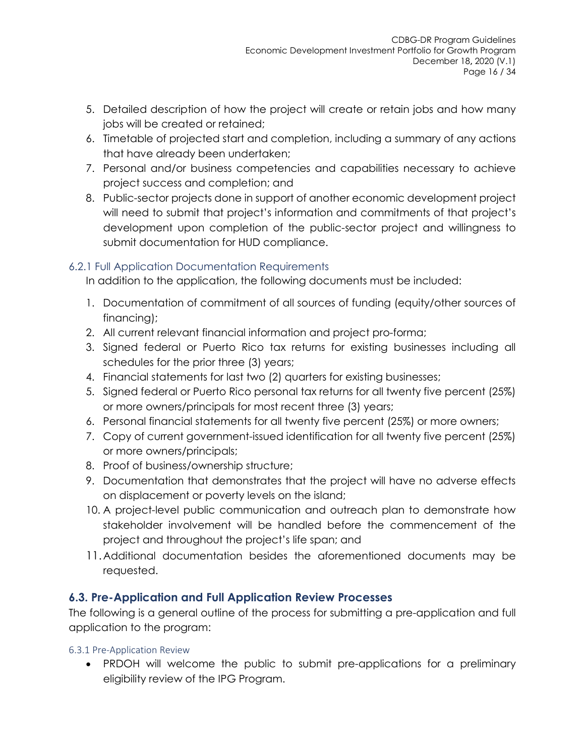- 5. Detailed description of how the project will create or retain jobs and how many jobs will be created or retained;
- 6. Timetable of projected start and completion, including a summary of any actions that have already been undertaken;
- 7. Personal and/or business competencies and capabilities necessary to achieve project success and completion; and
- 8. Public-sector projects done in support of another economic development project will need to submit that project's information and commitments of that project's development upon completion of the public-sector project and willingness to submit documentation for HUD compliance.

#### <span id="page-15-0"></span>6.2.1 Full Application Documentation Requirements

In addition to the application, the following documents must be included:

- 1. Documentation of commitment of all sources of funding (equity/other sources of financing);
- 2. All current relevant financial information and project pro-forma;
- 3. Signed federal or Puerto Rico tax returns for existing businesses including all schedules for the prior three (3) years;
- 4. Financial statements for last two (2) quarters for existing businesses;
- 5. Signed federal or Puerto Rico personal tax returns for all twenty five percent (25%) or more owners/principals for most recent three (3) years;
- 6. Personal financial statements for all twenty five percent (25%) or more owners;
- 7. Copy of current government-issued identification for all twenty five percent (25%) or more owners/principals;
- 8. Proof of business/ownership structure;
- 9. Documentation that demonstrates that the project will have no adverse effects on displacement or poverty levels on the island;
- 10. A project-level public communication and outreach plan to demonstrate how stakeholder involvement will be handled before the commencement of the project and throughout the project's life span; and
- 11.Additional documentation besides the aforementioned documents may be requested.

#### <span id="page-15-1"></span>**6.3. Pre-Application and Full Application Review Processes**

The following is a general outline of the process for submitting a pre-application and full application to the program:

#### <span id="page-15-2"></span>6.3.1 Pre-Application Review

• PRDOH will welcome the public to submit pre-applications for a preliminary eligibility review of the IPG Program.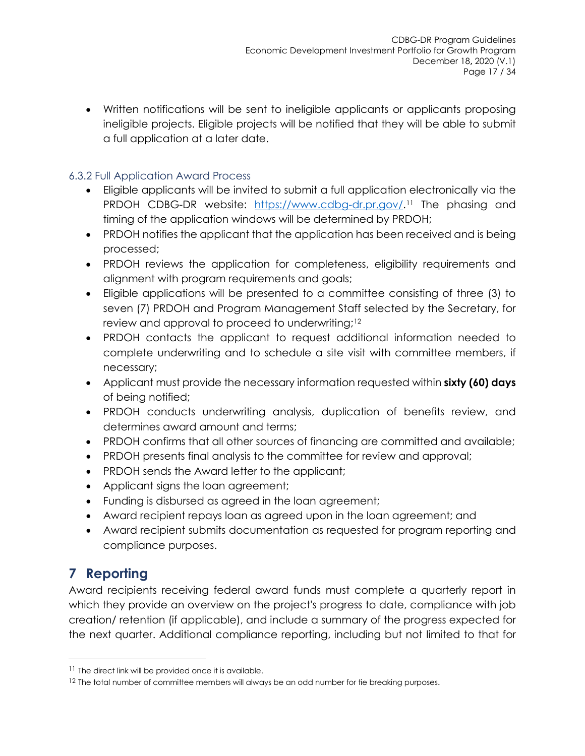• Written notifications will be sent to ineligible applicants or applicants proposing ineligible projects. Eligible projects will be notified that they will be able to submit a full application at a later date.

#### <span id="page-16-0"></span>6.3.2 Full Application Award Process

- Eligible applicants will be invited to submit a full application electronically via the PRDOH CDBG-DR website: [https://www.cdbg-dr.pr.gov/.](https://www.cdbg-dr.pr.gov/)<sup>[11](#page-16-2)</sup> The phasing and timing of the application windows will be determined by PRDOH;
- PRDOH notifies the applicant that the application has been received and is being processed;
- PRDOH reviews the application for completeness, eligibility requirements and alignment with program requirements and goals;
- Eligible applications will be presented to a committee consisting of three (3) to seven (7) PRDOH and Program Management Staff selected by the Secretary, for review and approval to proceed to underwriting[;12](#page-16-3)
- PRDOH contacts the applicant to request additional information needed to complete underwriting and to schedule a site visit with committee members, if necessary;
- Applicant must provide the necessary information requested within **sixty (60) days** of being notified;
- PRDOH conducts underwriting analysis, duplication of benefits review, and determines award amount and terms;
- PRDOH confirms that all other sources of financing are committed and available;
- PRDOH presents final analysis to the committee for review and approval;
- PRDOH sends the Award letter to the applicant;
- Applicant signs the loan agreement;
- Funding is disbursed as agreed in the loan agreement;
- Award recipient repays loan as agreed upon in the loan agreement; and
- Award recipient submits documentation as requested for program reporting and compliance purposes.

# <span id="page-16-1"></span>**7 Reporting**

Award recipients receiving federal award funds must complete a quarterly report in which they provide an overview on the project's progress to date, compliance with job creation/ retention (if applicable), and include a summary of the progress expected for the next quarter. Additional compliance reporting, including but not limited to that for

<span id="page-16-2"></span><sup>&</sup>lt;sup>11</sup> The direct link will be provided once it is available.

<span id="page-16-3"></span><sup>&</sup>lt;sup>12</sup> The total number of committee members will always be an odd number for tie breaking purposes.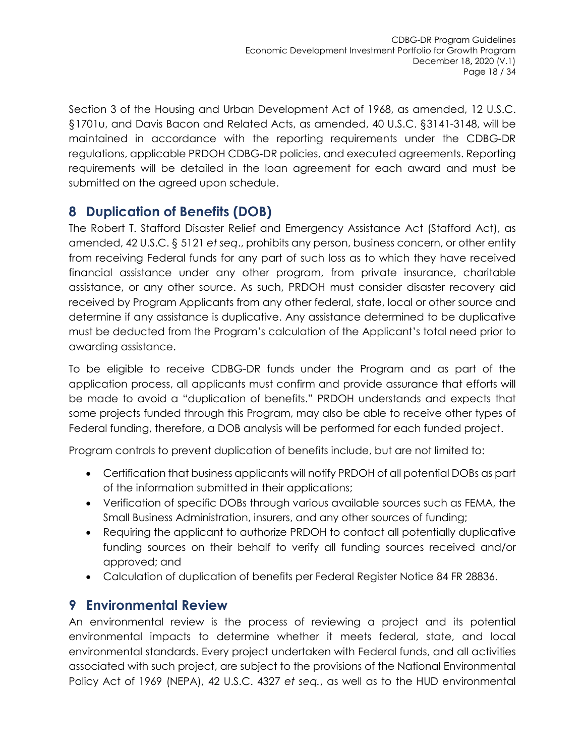Section 3 of the Housing and Urban Development Act of 1968, as amended, 12 U.S.C. §1701u, and Davis Bacon and Related Acts, as amended, 40 U.S.C. §3141-3148, will be maintained in accordance with the reporting requirements under the CDBG-DR regulations, applicable PRDOH CDBG-DR policies, and executed agreements. Reporting requirements will be detailed in the loan agreement for each award and must be submitted on the agreed upon schedule.

# <span id="page-17-0"></span>**8 Duplication of Benefits (DOB)**

The Robert T. Stafford Disaster Relief and Emergency Assistance Act (Stafford Act), as amended, 42 U.S.C. § 5121 *et seq*., prohibits any person, business concern, or other entity from receiving Federal funds for any part of such loss as to which they have received financial assistance under any other program, from private insurance, charitable assistance, or any other source. As such, PRDOH must consider disaster recovery aid received by Program Applicants from any other federal, state, local or other source and determine if any assistance is duplicative. Any assistance determined to be duplicative must be deducted from the Program's calculation of the Applicant's total need prior to awarding assistance.

To be eligible to receive CDBG-DR funds under the Program and as part of the application process, all applicants must confirm and provide assurance that efforts will be made to avoid a "duplication of benefits." PRDOH understands and expects that some projects funded through this Program, may also be able to receive other types of Federal funding, therefore, a DOB analysis will be performed for each funded project.

Program controls to prevent duplication of benefits include, but are not limited to:

- Certification that business applicants will notify PRDOH of all potential DOBs as part of the information submitted in their applications;
- Verification of specific DOBs through various available sources such as FEMA, the Small Business Administration, insurers, and any other sources of funding;
- Requiring the applicant to authorize PRDOH to contact all potentially duplicative funding sources on their behalf to verify all funding sources received and/or approved; and
- Calculation of duplication of benefits per Federal Register Notice 84 FR 28836.

# <span id="page-17-1"></span>**9 Environmental Review**

An environmental review is the process of reviewing a project and its potential environmental impacts to determine whether it meets federal, state, and local environmental standards. Every project undertaken with Federal funds, and all activities associated with such project, are subject to the provisions of the National Environmental Policy Act of 1969 (NEPA), 42 U.S.C. 4327 *et seq.*, as well as to the HUD environmental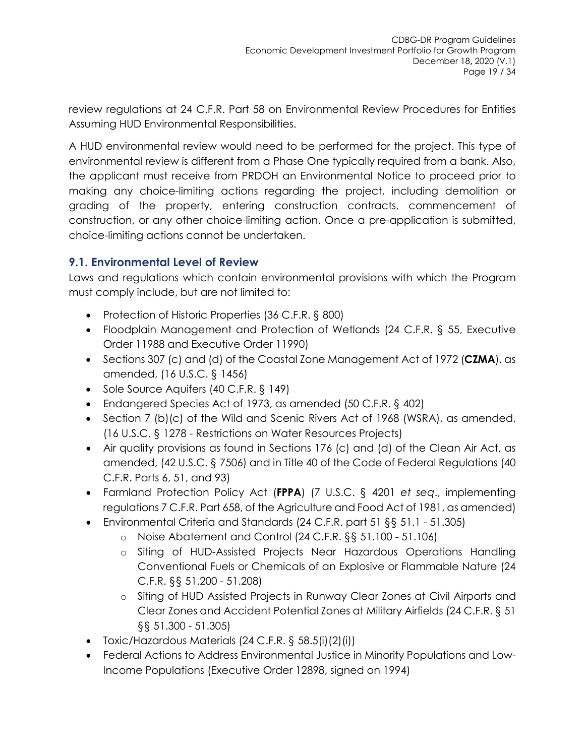review regulations at 24 C.F.R. Part 58 on Environmental Review Procedures for Entities Assuming HUD Environmental Responsibilities.

A HUD environmental review would need to be performed for the project. This type of environmental review is different from a Phase One typically required from a bank. Also, the applicant must receive from PRDOH an Environmental Notice to proceed prior to making any choice-limiting actions regarding the project, including demolition or grading of the property, entering construction contracts, commencement of construction, or any other choice-limiting action. Once a pre-application is submitted, choice-limiting actions cannot be undertaken.

#### <span id="page-18-0"></span>**9.1. Environmental Level of Review**

Laws and regulations which contain environmental provisions with which the Program must comply include, but are not limited to:

- Protection of Historic Properties (36 C.F.R. § 800)
- Floodplain Management and Protection of Wetlands (24 C.F.R. § 55, Executive Order 11988 and Executive Order 11990)
- Sections 307 (c) and (d) of the Coastal Zone Management Act of 1972 (**CZMA**), as amended, (16 U.S.C. § 1456)
- Sole Source Aquifers (40 C.F.R. § 149)
- Endangered Species Act of 1973, as amended (50 C.F.R. § 402)
- Section 7 (b)(c) of the Wild and Scenic Rivers Act of 1968 (WSRA), as amended, (16 U.S.C. § 1278 - Restrictions on Water Resources Projects)
- Air quality provisions as found in Sections 176 (c) and (d) of the Clean Air Act, as amended, (42 U.S.C. § 7506) and in Title 40 of the Code of Federal Regulations (40 C.F.R. Parts 6, 51, and 93)
- Farmland Protection Policy Act (**FPPA**) (7 U.S.C. § 4201 *et seq*., implementing regulations 7 C.F.R. Part 658, of the Agriculture and Food Act of 1981, as amended)
- Environmental Criteria and Standards (24 C.F.R. part 51 §§ 51.1 51.305)
	- o Noise Abatement and Control (24 C.F.R. §§ 51.100 51.106)
	- o Siting of HUD-Assisted Projects Near Hazardous Operations Handling Conventional Fuels or Chemicals of an Explosive or Flammable Nature (24 C.F.R. §§ 51.200 - 51.208)
	- o Siting of HUD Assisted Projects in Runway Clear Zones at Civil Airports and Clear Zones and Accident Potential Zones at Military Airfields (24 C.F.R. § 51 §§ 51.300 - 51.305)
- Toxic/Hazardous Materials (24 C.F.R. § 58.5(i)(2)(i))
- Federal Actions to Address Environmental Justice in Minority Populations and Low-Income Populations (Executive Order 12898, signed on 1994)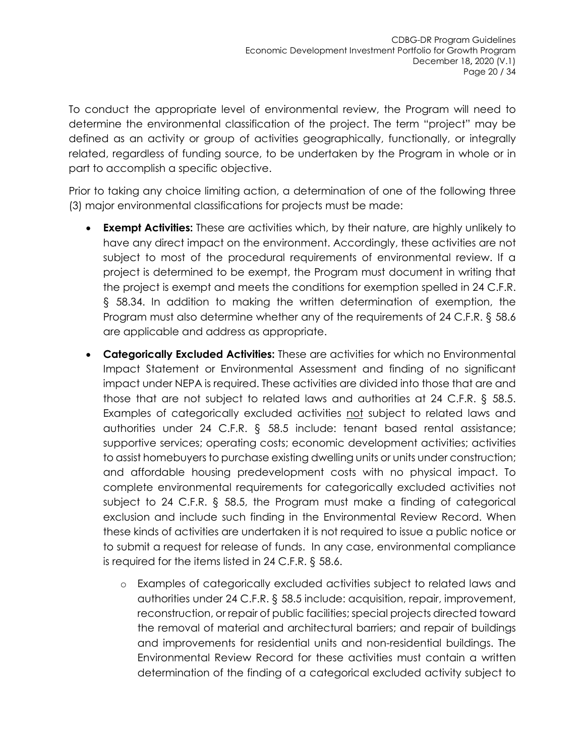To conduct the appropriate level of environmental review, the Program will need to determine the environmental classification of the project. The term "project" may be defined as an activity or group of activities geographically, functionally, or integrally related, regardless of funding source, to be undertaken by the Program in whole or in part to accomplish a specific objective.

Prior to taking any choice limiting action, a determination of one of the following three (3) major environmental classifications for projects must be made:

- **Exempt Activities:** These are activities which, by their nature, are highly unlikely to have any direct impact on the environment. Accordingly, these activities are not subject to most of the procedural requirements of environmental review. If a project is determined to be exempt, the Program must document in writing that the project is exempt and meets the conditions for exemption spelled in 24 C.F.R. § 58.34. In addition to making the written determination of exemption, the Program must also determine whether any of the requirements of 24 C.F.R. § 58.6 are applicable and address as appropriate.
- **Categorically Excluded Activities:** These are activities for which no Environmental Impact Statement or Environmental Assessment and finding of no significant impact under NEPA is required. These activities are divided into those that are and those that are not subject to related laws and authorities at 24 C.F.R. § 58.5. Examples of categorically excluded activities not subject to related laws and authorities under 24 C.F.R. § 58.5 include: tenant based rental assistance; supportive services; operating costs; economic development activities; activities to assist homebuyers to purchase existing dwelling units or units under construction; and affordable housing predevelopment costs with no physical impact. To complete environmental requirements for categorically excluded activities not subject to 24 C.F.R. § 58.5, the Program must make a finding of categorical exclusion and include such finding in the Environmental Review Record. When these kinds of activities are undertaken it is not required to issue a public notice or to submit a request for release of funds. In any case, environmental compliance is required for the items listed in 24 C.F.R. § 58.6.
	- o Examples of categorically excluded activities subject to related laws and authorities under 24 C.F.R. § 58.5 include: acquisition, repair, improvement, reconstruction, or repair of public facilities; special projects directed toward the removal of material and architectural barriers; and repair of buildings and improvements for residential units and non-residential buildings. The Environmental Review Record for these activities must contain a written determination of the finding of a categorical excluded activity subject to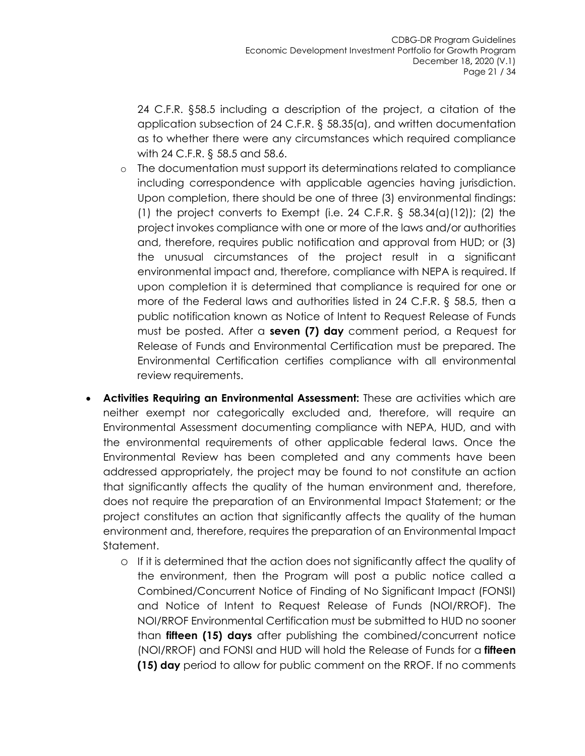24 C.F.R. §58.5 including a description of the project, a citation of the application subsection of 24 C.F.R. § 58.35(a), and written documentation as to whether there were any circumstances which required compliance with 24 C.F.R. § 58.5 and 58.6.

- o The documentation must support its determinations related to compliance including correspondence with applicable agencies having jurisdiction. Upon completion, there should be one of three (3) environmental findings: (1) the project converts to Exempt (i.e. 24 C.F.R.  $\S$  58.34(a)(12)); (2) the project invokes compliance with one or more of the laws and/or authorities and, therefore, requires public notification and approval from HUD; or (3) the unusual circumstances of the project result in a significant environmental impact and, therefore, compliance with NEPA is required. If upon completion it is determined that compliance is required for one or more of the Federal laws and authorities listed in 24 C.F.R. § 58.5, then a public notification known as Notice of Intent to Request Release of Funds must be posted. After a **seven (7) day** comment period, a Request for Release of Funds and Environmental Certification must be prepared. The Environmental Certification certifies compliance with all environmental review requirements.
- **Activities Requiring an Environmental Assessment:** These are activities which are neither exempt nor categorically excluded and, therefore, will require an Environmental Assessment documenting compliance with NEPA, HUD, and with the environmental requirements of other applicable federal laws. Once the Environmental Review has been completed and any comments have been addressed appropriately, the project may be found to not constitute an action that significantly affects the quality of the human environment and, therefore, does not require the preparation of an Environmental Impact Statement; or the project constitutes an action that significantly affects the quality of the human environment and, therefore, requires the preparation of an Environmental Impact Statement.
	- o If it is determined that the action does not significantly affect the quality of the environment, then the Program will post a public notice called a Combined/Concurrent Notice of Finding of No Significant Impact (FONSI) and Notice of Intent to Request Release of Funds (NOI/RROF). The NOI/RROF Environmental Certification must be submitted to HUD no sooner than **fifteen (15) days** after publishing the combined/concurrent notice (NOI/RROF) and FONSI and HUD will hold the Release of Funds for a **fifteen (15) day** period to allow for public comment on the RROF. If no comments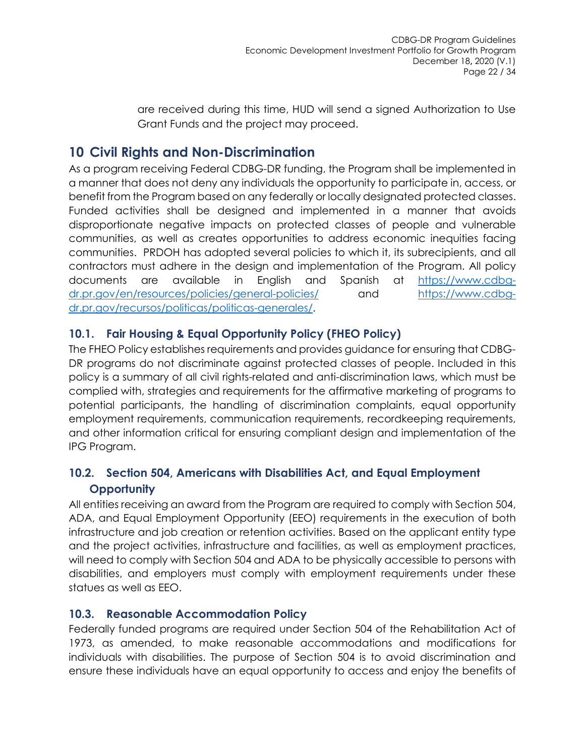are received during this time, HUD will send a signed Authorization to Use Grant Funds and the project may proceed.

# <span id="page-21-0"></span>**10 Civil Rights and Non-Discrimination**

As a program receiving Federal CDBG-DR funding, the Program shall be implemented in a manner that does not deny any individuals the opportunity to participate in, access, or benefit from the Program based on any federally or locally designated protected classes. Funded activities shall be designed and implemented in a manner that avoids disproportionate negative impacts on protected classes of people and vulnerable communities, as well as creates opportunities to address economic inequities facing communities. PRDOH has adopted several policies to which it, its subrecipients, and all contractors must adhere in the design and implementation of the Program. All policy documents are available in English and Spanish at [https://www.cdbg](https://www.cdbg-dr.pr.gov/en/resources/policies/general-policies/)[dr.pr.gov/en/resources/policies/general-policies/](https://www.cdbg-dr.pr.gov/en/resources/policies/general-policies/) and [https://www.cdbg](https://www.cdbg-dr.pr.gov/recursos/politicas/politicas-generales/)[dr.pr.gov/recursos/politicas/politicas-generales/.](https://www.cdbg-dr.pr.gov/recursos/politicas/politicas-generales/)

#### <span id="page-21-1"></span>**10.1. Fair Housing & Equal Opportunity Policy (FHEO Policy)**

The FHEO Policy establishes requirements and provides guidance for ensuring that CDBG-DR programs do not discriminate against protected classes of people. Included in this policy is a summary of all civil rights-related and anti-discrimination laws, which must be complied with, strategies and requirements for the affirmative marketing of programs to potential participants, the handling of discrimination complaints, equal opportunity employment requirements, communication requirements, recordkeeping requirements, and other information critical for ensuring compliant design and implementation of the IPG Program.

# <span id="page-21-2"></span>**10.2. Section 504, Americans with Disabilities Act, and Equal Employment Opportunity**

All entities receiving an award from the Program are required to comply with Section 504, ADA, and Equal Employment Opportunity (EEO) requirements in the execution of both infrastructure and job creation or retention activities. Based on the applicant entity type and the project activities, infrastructure and facilities, as well as employment practices, will need to comply with Section 504 and ADA to be physically accessible to persons with disabilities, and employers must comply with employment requirements under these statues as well as EEO.

#### <span id="page-21-3"></span>**10.3. Reasonable Accommodation Policy**

Federally funded programs are required under Section 504 of the Rehabilitation Act of 1973, as amended, to make reasonable accommodations and modifications for individuals with disabilities. The purpose of Section 504 is to avoid discrimination and ensure these individuals have an equal opportunity to access and enjoy the benefits of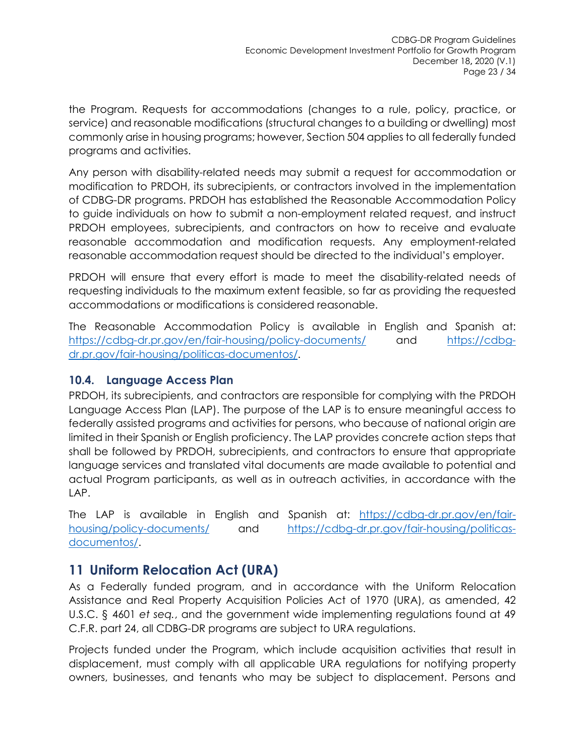the Program. Requests for accommodations (changes to a rule, policy, practice, or service) and reasonable modifications (structural changes to a building or dwelling) most commonly arise in housing programs; however, Section 504 applies to all federally funded programs and activities.

Any person with disability-related needs may submit a request for accommodation or modification to PRDOH, its subrecipients, or contractors involved in the implementation of CDBG-DR programs. PRDOH has established the Reasonable Accommodation Policy to guide individuals on how to submit a non-employment related request, and instruct PRDOH employees, subrecipients, and contractors on how to receive and evaluate reasonable accommodation and modification requests. Any employment-related reasonable accommodation request should be directed to the individual's employer.

PRDOH will ensure that every effort is made to meet the disability-related needs of requesting individuals to the maximum extent feasible, so far as providing the requested accommodations or modifications is considered reasonable.

The Reasonable Accommodation Policy is available in English and Spanish at: <https://cdbg-dr.pr.gov/en/fair-housing/policy-documents/> and [https://cdbg](https://cdbg-dr.pr.gov/fair-housing/politicas-documentos/)[dr.pr.gov/fair-housing/politicas-documentos/.](https://cdbg-dr.pr.gov/fair-housing/politicas-documentos/)

#### <span id="page-22-0"></span>**10.4. Language Access Plan**

PRDOH, its subrecipients, and contractors are responsible for complying with the PRDOH Language Access Plan (LAP). The purpose of the LAP is to ensure meaningful access to federally assisted programs and activities for persons, who because of national origin are limited in their Spanish or English proficiency. The LAP provides concrete action steps that shall be followed by PRDOH, subrecipients, and contractors to ensure that appropriate language services and translated vital documents are made available to potential and actual Program participants, as well as in outreach activities, in accordance with the LAP.

The LAP is available in English and Spanish at: [https://cdbg-dr.pr.gov/en/fair](https://cdbg-dr.pr.gov/en/fair-housing/policy-documents/)[housing/policy-documents/](https://cdbg-dr.pr.gov/en/fair-housing/policy-documents/) and [https://cdbg-dr.pr.gov/fair-housing/politicas](https://cdbg-dr.pr.gov/fair-housing/politicas-documentos/)[documentos/.](https://cdbg-dr.pr.gov/fair-housing/politicas-documentos/)

# <span id="page-22-1"></span>**11 Uniform Relocation Act (URA)**

As a Federally funded program, and in accordance with the Uniform Relocation Assistance and Real Property Acquisition Policies Act of 1970 (URA), as amended, 42 U.S.C. § 4601 *et seq.*, and the government wide implementing regulations found at 49 C.F.R. part 24, all CDBG-DR programs are subject to URA regulations.

Projects funded under the Program, which include acquisition activities that result in displacement, must comply with all applicable URA regulations for notifying property owners, businesses, and tenants who may be subject to displacement. Persons and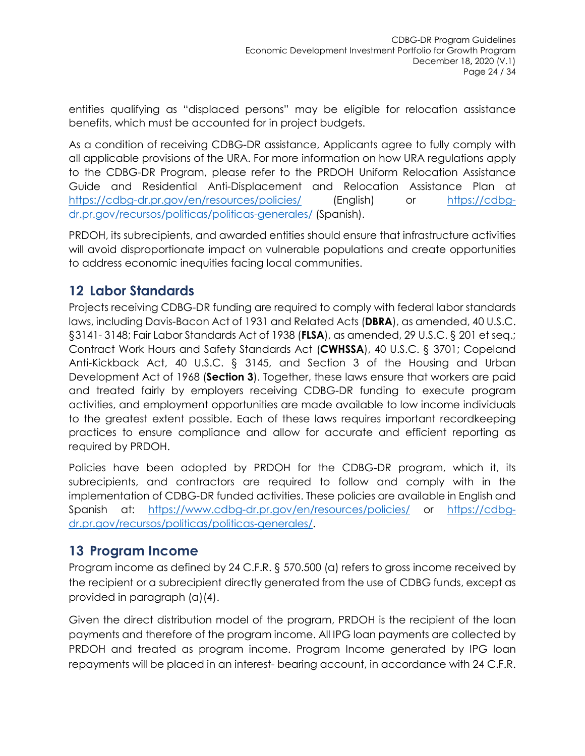entities qualifying as "displaced persons" may be eligible for relocation assistance benefits, which must be accounted for in project budgets.

As a condition of receiving CDBG-DR assistance, Applicants agree to fully comply with all applicable provisions of the URA. For more information on how URA regulations apply to the CDBG-DR Program, please refer to the PRDOH Uniform Relocation Assistance Guide and Residential Anti-Displacement and Relocation Assistance Plan at <https://cdbg-dr.pr.gov/en/resources/policies/> (English) or [https://cdbg](https://cdbg-dr.pr.gov/recursos/politicas/politicas-generales/)[dr.pr.gov/recursos/politicas/politicas-generales/](https://cdbg-dr.pr.gov/recursos/politicas/politicas-generales/) (Spanish).

PRDOH, its subrecipients, and awarded entities should ensure that infrastructure activities will avoid disproportionate impact on vulnerable populations and create opportunities to address economic inequities facing local communities.

# <span id="page-23-0"></span>**12 Labor Standards**

Projects receiving CDBG-DR funding are required to comply with federal labor standards laws, including Davis-Bacon Act of 1931 and Related Acts (**DBRA**), as amended, 40 U.S.C. §3141- 3148; Fair Labor Standards Act of 1938 (**FLSA**), as amended, 29 U.S.C. § 201 et seq.; Contract Work Hours and Safety Standards Act (**CWHSSA**), 40 U.S.C. § 3701; Copeland Anti-Kickback Act, 40 U.S.C. § 3145, and Section 3 of the Housing and Urban Development Act of 1968 (**Section 3**). Together, these laws ensure that workers are paid and treated fairly by employers receiving CDBG-DR funding to execute program activities, and employment opportunities are made available to low income individuals to the greatest extent possible. Each of these laws requires important recordkeeping practices to ensure compliance and allow for accurate and efficient reporting as required by PRDOH.

Policies have been adopted by PRDOH for the CDBG-DR program, which it, its subrecipients, and contractors are required to follow and comply with in the implementation of CDBG-DR funded activities. These policies are available in English and Spanish at: <https://www.cdbg-dr.pr.gov/en/resources/policies/> or [https://cdbg](https://cdbg-dr.pr.gov/recursos/politicas/politicas-generales/)[dr.pr.gov/recursos/politicas/politicas-generales/.](https://cdbg-dr.pr.gov/recursos/politicas/politicas-generales/)

# <span id="page-23-1"></span>**13 Program Income**

Program income as defined by 24 C.F.R. § 570.500 (a) refers to gross [income](https://www.law.cornell.edu/definitions/index.php?width=840&height=800&iframe=true&def_id=31ea9a12a77cf51b82fe3b9f8fd09d10&term_occur=999&term_src=Title:24:Subtitle:B:Chapter:V:Subchapter:C:Part:570:Subpart:J:570.500) received by the recipient or a subrecipient directly generated from the use of [CDBG funds,](https://www.law.cornell.edu/definitions/index.php?width=840&height=800&iframe=true&def_id=d3bc5d2ee66d745a10b7523cd24888b3&term_occur=999&term_src=Title:24:Subtitle:B:Chapter:V:Subchapter:C:Part:570:Subpart:J:570.500) except as provided in paragraph (a)(4).

Given the direct distribution model of the program, PRDOH is the recipient of the loan payments and therefore of the program income. All IPG loan payments are collected by PRDOH and treated as program income. Program Income generated by IPG loan repayments will be placed in an interest- bearing account, in accordance with 24 C.F.R.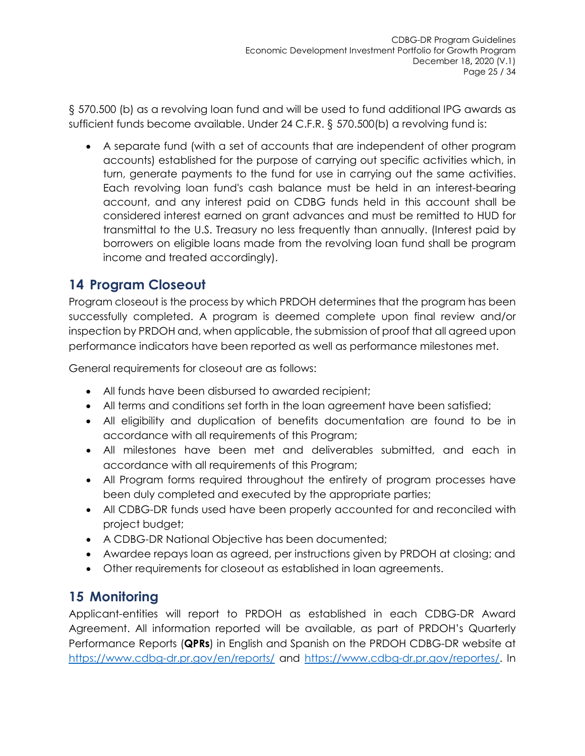§ 570.500 (b) as a revolving loan fund and will be used to fund additional IPG awards as sufficient funds become available. Under 24 C.F.R. § 570.500(b) a revolving fund is:

• A separate fund (with a set of accounts that are independent of other program accounts) established for the purpose of carrying out specific activities which, in turn, generate payments to the fund for use in carrying out the same activities. Each revolving loan fund's cash balance must be held in an interest-bearing account, and any interest paid on CDBG funds held in this account shall be considered interest earned on grant advances and must be remitted to HUD for transmittal to the U.S. Treasury no less frequently than annually. (Interest paid by borrowers on eligible loans made from the revolving loan fund shall be program income and treated accordingly).

# <span id="page-24-0"></span>**14 Program Closeout**

Program closeout is the process by which PRDOH determines that the program has been successfully completed. A program is deemed complete upon final review and/or inspection by PRDOH and, when applicable, the submission of proof that all agreed upon performance indicators have been reported as well as performance milestones met.

General requirements for closeout are as follows:

- All funds have been disbursed to awarded recipient;
- All terms and conditions set forth in the loan agreement have been satisfied;
- All eligibility and duplication of benefits documentation are found to be in accordance with all requirements of this Program;
- All milestones have been met and deliverables submitted, and each in accordance with all requirements of this Program;
- All Program forms required throughout the entirety of program processes have been duly completed and executed by the appropriate parties;
- All CDBG-DR funds used have been properly accounted for and reconciled with project budget;
- A CDBG-DR National Objective has been documented;
- Awardee repays loan as agreed, per instructions given by PRDOH at closing; and
- Other requirements for closeout as established in loan agreements.

# <span id="page-24-1"></span>**15 Monitoring**

Applicant-entities will report to PRDOH as established in each CDBG-DR Award Agreement. All information reported will be available, as part of PRDOH's Quarterly Performance Reports (**QPRs**) in English and Spanish on the PRDOH CDBG-DR website at <https://www.cdbg-dr.pr.gov/en/reports/> and [https://www.cdbg-dr.pr.gov/reportes/.](https://www.cdbg-dr.pr.gov/reportes/) In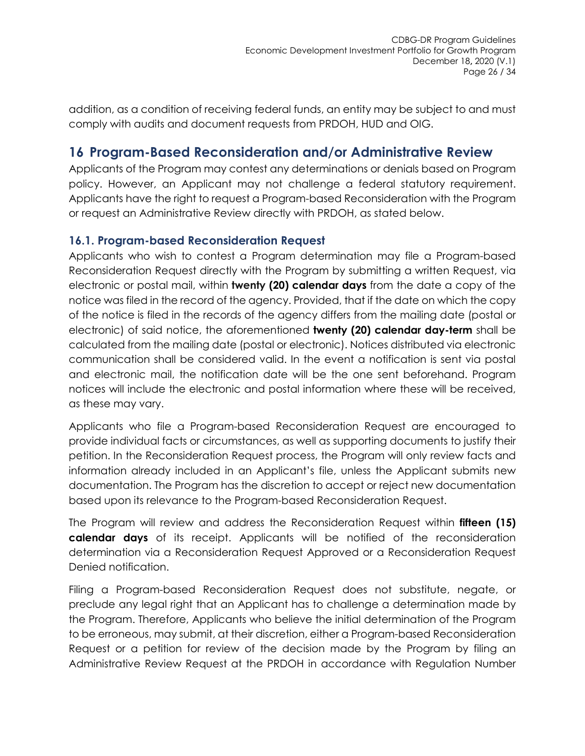addition, as a condition of receiving federal funds, an entity may be subject to and must comply with audits and document requests from PRDOH, HUD and OIG.

# <span id="page-25-0"></span>**16 Program-Based Reconsideration and/or Administrative Review**

Applicants of the Program may contest any determinations or denials based on Program policy. However, an Applicant may not challenge a federal statutory requirement. Applicants have the right to request a Program-based Reconsideration with the Program or request an Administrative Review directly with PRDOH, as stated below.

#### <span id="page-25-1"></span>**16.1. Program-based Reconsideration Request**

Applicants who wish to contest a Program determination may file a Program-based Reconsideration Request directly with the Program by submitting a written Request, via electronic or postal mail, within **twenty (20) calendar days** from the date a copy of the notice was filed in the record of the agency. Provided, that if the date on which the copy of the notice is filed in the records of the agency differs from the mailing date (postal or electronic) of said notice, the aforementioned **twenty (20) calendar day-term** shall be calculated from the mailing date (postal or electronic). Notices distributed via electronic communication shall be considered valid. In the event a notification is sent via postal and electronic mail, the notification date will be the one sent beforehand. Program notices will include the electronic and postal information where these will be received, as these may vary.

Applicants who file a Program-based Reconsideration Request are encouraged to provide individual facts or circumstances, as well as supporting documents to justify their petition. In the Reconsideration Request process, the Program will only review facts and information already included in an Applicant's file, unless the Applicant submits new documentation. The Program has the discretion to accept or reject new documentation based upon its relevance to the Program-based Reconsideration Request.

The Program will review and address the Reconsideration Request within **fifteen (15) calendar days** of its receipt. Applicants will be notified of the reconsideration determination via a Reconsideration Request Approved or a Reconsideration Request Denied notification.

Filing a Program-based Reconsideration Request does not substitute, negate, or preclude any legal right that an Applicant has to challenge a determination made by the Program. Therefore, Applicants who believe the initial determination of the Program to be erroneous, may submit, at their discretion, either a Program-based Reconsideration Request or a petition for review of the decision made by the Program by filing an Administrative Review Request at the PRDOH in accordance with Regulation Number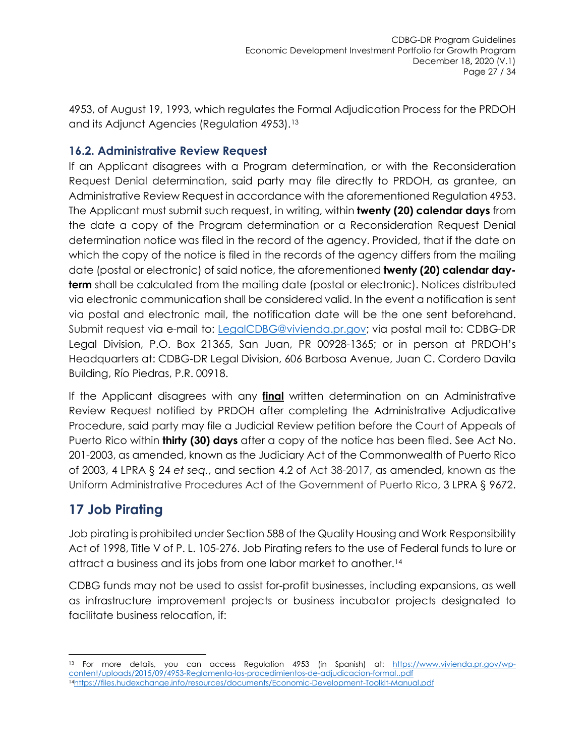4953, of August 19, 1993, which regulates the Formal Adjudication Process for the PRDOH and its Adjunct Agencies (Regulation 4953).<sup>[13](#page-26-1)</sup>

#### <span id="page-26-0"></span>**16.2. Administrative Review Request**

If an Applicant disagrees with a Program determination, or with the Reconsideration Request Denial determination, said party may file directly to PRDOH, as grantee, an Administrative Review Request in accordance with the aforementioned Regulation 4953. The Applicant must submit such request, in writing, within **twenty (20) calendar days** from the date a copy of the Program determination or a Reconsideration Request Denial determination notice was filed in the record of the agency. Provided, that if the date on which the copy of the notice is filed in the records of the agency differs from the mailing date (postal or electronic) of said notice, the aforementioned **twenty (20) calendar dayterm** shall be calculated from the mailing date (postal or electronic). Notices distributed via electronic communication shall be considered valid. In the event a notification is sent via postal and electronic mail, the notification date will be the one sent beforehand. Submit request via e-mail to: [LegalCDBG@vivienda.pr.gov;](mailto:LegalCDBG@vivienda.pr.gov) via postal mail to: CDBG-DR Legal Division, P.O. Box 21365, San Juan, PR 00928-1365; or in person at PRDOH's Headquarters at: CDBG-DR Legal Division, 606 Barbosa Avenue, Juan C. Cordero Davila Building, Río Piedras, P.R. 00918.

If the Applicant disagrees with any **final** written determination on an Administrative Review Request notified by PRDOH after completing the Administrative Adjudicative Procedure, said party may file a Judicial Review petition before the Court of Appeals of Puerto Rico within **thirty (30) days** after a copy of the notice has been filed. See Act No. 201-2003, as amended, known as the Judiciary Act of the Commonwealth of Puerto Rico of 2003, 4 LPRA § 24 *et seq.*, and section 4.2 of Act 38-2017, as amended, known as the Uniform Administrative Procedures Act of the Government of Puerto Rico, 3 LPRA § 9672.

# **17 Job Pirating**

Job pirating is prohibited under Section 588 of the Quality Housing and Work Responsibility Act of 1998, Title V of P. L. 105-276. Job Pirating refers to the use of Federal funds to lure or attract a business and its jobs from one labor market to another.<sup>[14](#page-26-2)</sup>

CDBG funds may not be used to assist for-profit businesses, including expansions, as well as infrastructure improvement projects or business incubator projects designated to facilitate business relocation, if:

<span id="page-26-2"></span><span id="page-26-1"></span><sup>&</sup>lt;sup>13</sup> For more details, you can access Regulation 4953 (in Spanish) at: [https://www.vivienda.pr.gov/wp](https://www.vivienda.pr.gov/wp-content/uploads/2015/09/4953-Reglamenta-los-procedimientos-de-adjudicacion-formal..pdf)[content/uploads/2015/09/4953-Reglamenta-los-procedimientos-de-adjudicacion-formal..pdf](https://www.vivienda.pr.gov/wp-content/uploads/2015/09/4953-Reglamenta-los-procedimientos-de-adjudicacion-formal..pdf) 1[4https://files.hudexchange.info/resources/documents/Economic-Development-Toolkit-Manual.pdf](https://files.hudexchange.info/resources/documents/Economic-Development-Toolkit-Manual.pdf)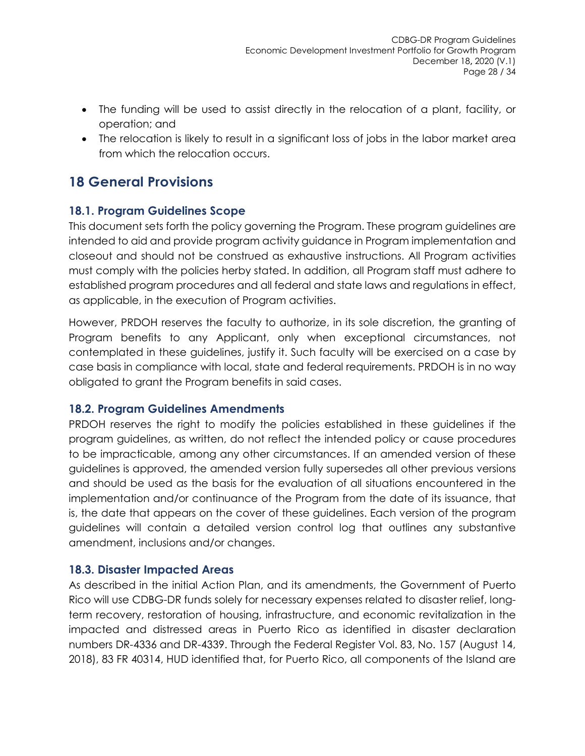- The funding will be used to assist directly in the relocation of a plant, facility, or operation; and
- The relocation is likely to result in a significant loss of jobs in the labor market area from which the relocation occurs.

# <span id="page-27-0"></span>**18 General Provisions**

#### <span id="page-27-1"></span>**18.1. Program Guidelines Scope**

This document sets forth the policy governing the Program. These program guidelines are intended to aid and provide program activity guidance in Program implementation and closeout and should not be construed as exhaustive instructions. All Program activities must comply with the policies herby stated. In addition, all Program staff must adhere to established program procedures and all federal and state laws and regulations in effect, as applicable, in the execution of Program activities.

However, PRDOH reserves the faculty to authorize, in its sole discretion, the granting of Program benefits to any Applicant, only when exceptional circumstances, not contemplated in these guidelines, justify it. Such faculty will be exercised on a case by case basis in compliance with local, state and federal requirements. PRDOH is in no way obligated to grant the Program benefits in said cases.

#### <span id="page-27-2"></span>**18.2. Program Guidelines Amendments**

PRDOH reserves the right to modify the policies established in these guidelines if the program guidelines, as written, do not reflect the intended policy or cause procedures to be impracticable, among any other circumstances. If an amended version of these guidelines is approved, the amended version fully supersedes all other previous versions and should be used as the basis for the evaluation of all situations encountered in the implementation and/or continuance of the Program from the date of its issuance, that is, the date that appears on the cover of these guidelines. Each version of the program guidelines will contain a detailed version control log that outlines any substantive amendment, inclusions and/or changes.

#### <span id="page-27-3"></span>**18.3. Disaster Impacted Areas**

As described in the initial Action Plan, and its amendments, the Government of Puerto Rico will use CDBG-DR funds solely for necessary expenses related to disaster relief, longterm recovery, restoration of housing, infrastructure, and economic revitalization in the impacted and distressed areas in Puerto Rico as identified in disaster declaration numbers DR-4336 and DR-4339. Through the Federal Register Vol. 83, No. 157 (August 14, 2018), 83 FR 40314, HUD identified that, for Puerto Rico, all components of the Island are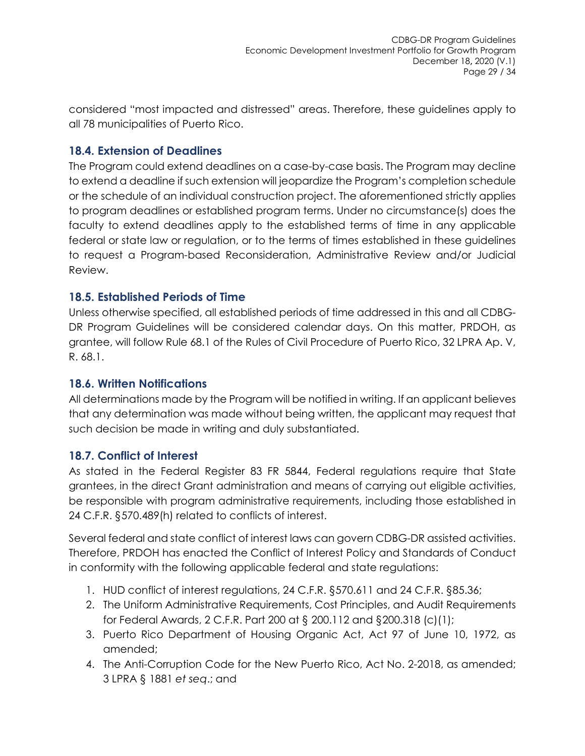considered "most impacted and distressed" areas. Therefore, these guidelines apply to all 78 municipalities of Puerto Rico.

#### <span id="page-28-0"></span>**18.4. Extension of Deadlines**

The Program could extend deadlines on a case-by-case basis. The Program may decline to extend a deadline if such extension will jeopardize the Program's completion schedule or the schedule of an individual construction project. The aforementioned strictly applies to program deadlines or established program terms. Under no circumstance(s) does the faculty to extend deadlines apply to the established terms of time in any applicable federal or state law or regulation, or to the terms of times established in these guidelines to request a Program-based Reconsideration, Administrative Review and/or Judicial Review.

#### <span id="page-28-1"></span>**18.5. Established Periods of Time**

Unless otherwise specified, all established periods of time addressed in this and all CDBG-DR Program Guidelines will be considered calendar days. On this matter, PRDOH, as grantee, will follow Rule 68.1 of the Rules of Civil Procedure of Puerto Rico, 32 LPRA Ap. V, R. 68.1.

#### <span id="page-28-2"></span>**18.6. Written Notifications**

All determinations made by the Program will be notified in writing. If an applicant believes that any determination was made without being written, the applicant may request that such decision be made in writing and duly substantiated.

#### <span id="page-28-3"></span>**18.7. Conflict of Interest**

As stated in the Federal Register 83 FR 5844, Federal regulations require that State grantees, in the direct Grant administration and means of carrying out eligible activities, be responsible with program administrative requirements, including those established in 24 C.F.R. §570.489(h) related to conflicts of interest.

Several federal and state conflict of interest laws can govern CDBG-DR assisted activities. Therefore, PRDOH has enacted the Conflict of Interest Policy and Standards of Conduct in conformity with the following applicable federal and state regulations:

- 1. HUD conflict of interest regulations, 24 C.F.R. §570.611 and 24 C.F.R. §85.36;
- 2. The Uniform Administrative Requirements, Cost Principles, and Audit Requirements for Federal Awards, 2 C.F.R. Part 200 at § 200.112 and §200.318 (c)(1);
- 3. Puerto Rico Department of Housing Organic Act, Act 97 of June 10, 1972, as amended;
- 4. The Anti-Corruption Code for the New Puerto Rico, Act No. 2-2018, as amended; 3 LPRA § 1881 *et seq*.; and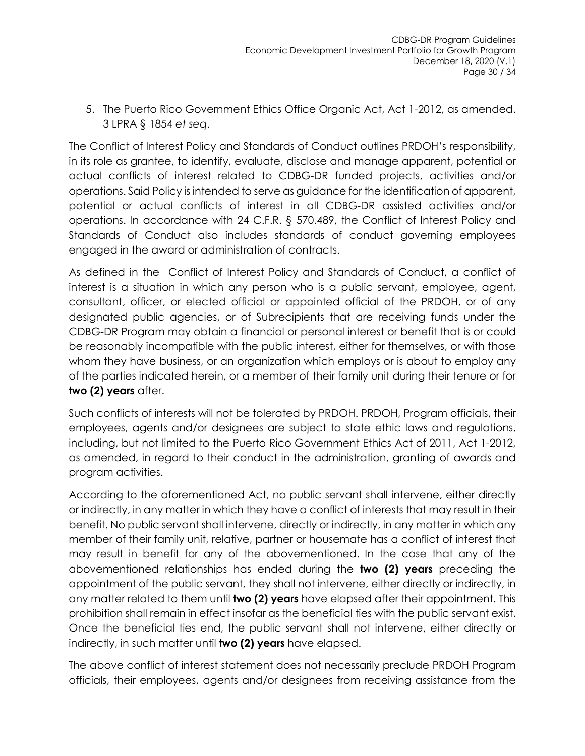5. The Puerto Rico Government Ethics Office Organic Act, Act 1-2012, as amended. 3 LPRA § 1854 *et seq*.

The Conflict of Interest Policy and Standards of Conduct outlines PRDOH's responsibility, in its role as grantee, to identify, evaluate, disclose and manage apparent, potential or actual conflicts of interest related to CDBG-DR funded projects, activities and/or operations. Said Policy is intended to serve as guidance for the identification of apparent, potential or actual conflicts of interest in all CDBG-DR assisted activities and/or operations. In accordance with 24 C.F.R. § 570.489, the Conflict of Interest Policy and Standards of Conduct also includes standards of conduct governing employees engaged in the award or administration of contracts.

As defined in the Conflict of Interest Policy and Standards of Conduct, a conflict of interest is a situation in which any person who is a public servant, employee, agent, consultant, officer, or elected official or appointed official of the PRDOH, or of any designated public agencies, or of Subrecipients that are receiving funds under the CDBG-DR Program may obtain a financial or personal interest or benefit that is or could be reasonably incompatible with the public interest, either for themselves, or with those whom they have business, or an organization which employs or is about to employ any of the parties indicated herein, or a member of their family unit during their tenure or for **two (2) years** after.

Such conflicts of interests will not be tolerated by PRDOH. PRDOH, Program officials, their employees, agents and/or designees are subject to state ethic laws and regulations, including, but not limited to the Puerto Rico Government Ethics Act of 2011, Act 1-2012, as amended, in regard to their conduct in the administration, granting of awards and program activities.

According to the aforementioned Act, no public servant shall intervene, either directly or indirectly, in any matter in which they have a conflict of interests that may result in their benefit. No public servant shall intervene, directly or indirectly, in any matter in which any member of their family unit, relative, partner or housemate has a conflict of interest that may result in benefit for any of the abovementioned. In the case that any of the abovementioned relationships has ended during the **two (2) years** preceding the appointment of the public servant, they shall not intervene, either directly or indirectly, in any matter related to them until **two (2) years** have elapsed after their appointment. This prohibition shall remain in effect insofar as the beneficial ties with the public servant exist. Once the beneficial ties end, the public servant shall not intervene, either directly or indirectly, in such matter until **two (2) years** have elapsed.

The above conflict of interest statement does not necessarily preclude PRDOH Program officials, their employees, agents and/or designees from receiving assistance from the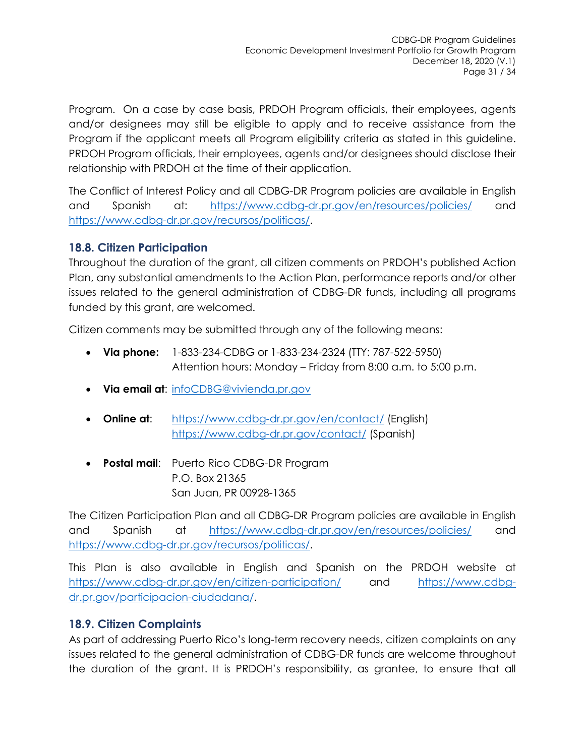Program. On a case by case basis, PRDOH Program officials, their employees, agents and/or designees may still be eligible to apply and to receive assistance from the Program if the applicant meets all Program eligibility criteria as stated in this guideline. PRDOH Program officials, their employees, agents and/or designees should disclose their relationship with PRDOH at the time of their application.

The Conflict of Interest Policy and all CDBG-DR Program policies are available in English and Spanish at: <https://www.cdbg-dr.pr.gov/en/resources/policies/> and [https://www.cdbg-dr.pr.gov/recursos/politicas/.](https://www.cdbg-dr.pr.gov/recursos/politicas/)

#### <span id="page-30-0"></span>**18.8. Citizen Participation**

Throughout the duration of the grant, all citizen comments on PRDOH's published Action Plan, any substantial amendments to the Action Plan, performance reports and/or other issues related to the general administration of CDBG-DR funds, including all programs funded by this grant, are welcomed.

Citizen comments may be submitted through any of the following means:

- **Via phone:** 1-833-234-CDBG or 1-833-234-2324 (TTY: 787-522-5950) Attention hours: Monday – Friday from 8:00 a.m. to 5:00 p.m.
- **Via email at**: [infoCDBG@vivienda.pr.gov](mailto:infoCDBG@vivienda.pr.gov)
- **Online at:** <https://www.cdbg-dr.pr.gov/en/contact/> (English) <https://www.cdbg-dr.pr.gov/contact/> (Spanish)
- **Postal mail:** Puerto Rico CDBG-DR Program P.O. Box 21365 San Juan, PR 00928-1365

The Citizen Participation Plan and all CDBG-DR Program policies are available in English and Spanish at <https://www.cdbg-dr.pr.gov/en/resources/policies/> and [https://www.cdbg-dr.pr.gov/recursos/politicas/.](https://www.cdbg-dr.pr.gov/recursos/politicas/)

This Plan is also available in English and Spanish on the PRDOH website at <https://www.cdbg-dr.pr.gov/en/citizen-participation/> and [https://www.cdbg](https://www.cdbg-dr.pr.gov/participacion-ciudadana/)[dr.pr.gov/participacion-ciudadana/.](https://www.cdbg-dr.pr.gov/participacion-ciudadana/)

#### <span id="page-30-1"></span>**18.9. Citizen Complaints**

As part of addressing Puerto Rico's long-term recovery needs, citizen complaints on any issues related to the general administration of CDBG-DR funds are welcome throughout the duration of the grant. It is PRDOH's responsibility, as grantee, to ensure that all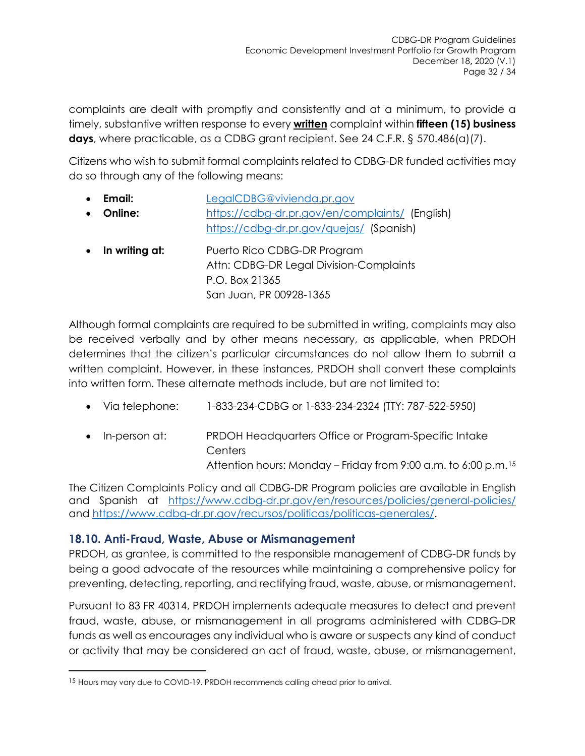complaints are dealt with promptly and consistently and at a minimum, to provide a timely, substantive written response to every **written** complaint within **fifteen (15) business days**, where practicable, as a CDBG grant recipient. See 24 C.F.R. § 570.486(a)(7).

Citizens who wish to submit formal complaints related to CDBG-DR funded activities may do so through any of the following means:

- **Email:** [LegalCDBG@vivienda.pr.gov](mailto:LegalCDBG@vivienda.pr.gov) • **Online:** <https://cdbg-dr.pr.gov/en/complaints/>(English) <https://cdbg-dr.pr.gov/quejas/>(Spanish)
- **In writing at:** Puerto Rico CDBG-DR Program Attn: CDBG-DR Legal Division-Complaints P.O. Box 21365 San Juan, PR 00928-1365

Although formal complaints are required to be submitted in writing, complaints may also be received verbally and by other means necessary, as applicable, when PRDOH determines that the citizen's particular circumstances do not allow them to submit a written complaint. However, in these instances, PRDOH shall convert these complaints into written form. These alternate methods include, but are not limited to:

- Via telephone: 1-833-234-CDBG or 1-833-234-2324 (TTY: 787-522-5950)
- In-person at: PRDOH Headquarters Office or Program-Specific Intake **Centers** Attention hours: Monday – Friday from 9:00 a.m. to 6:00 p.m.[15](#page-31-1)

The Citizen Complaints Policy and all CDBG-DR Program policies are available in English and Spanish at <https://www.cdbg-dr.pr.gov/en/resources/policies/general-policies/> and [https://www.cdbg-dr.pr.gov/recursos/politicas/politicas-generales/.](https://www.cdbg-dr.pr.gov/recursos/politicas/politicas-generales/)

#### <span id="page-31-0"></span>**18.10. Anti-Fraud, Waste, Abuse or Mismanagement**

PRDOH, as grantee, is committed to the responsible management of CDBG-DR funds by being a good advocate of the resources while maintaining a comprehensive policy for preventing, detecting, reporting, and rectifying fraud, waste, abuse, or mismanagement.

Pursuant to 83 FR 40314, PRDOH implements adequate measures to detect and prevent fraud, waste, abuse, or mismanagement in all programs administered with CDBG-DR funds as well as encourages any individual who is aware or suspects any kind of conduct or activity that may be considered an act of fraud, waste, abuse, or mismanagement,

<span id="page-31-1"></span><sup>15</sup> Hours may vary due to COVID-19. PRDOH recommends calling ahead prior to arrival.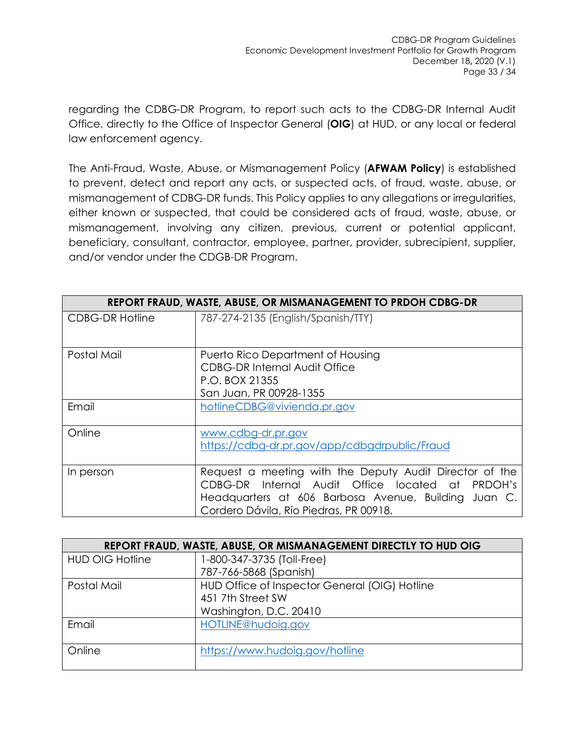regarding the CDBG-DR Program, to report such acts to the CDBG-DR Internal Audit Office, directly to the Office of Inspector General (**OIG**) at HUD, or any local or federal law enforcement agency.

The Anti-Fraud, Waste, Abuse, or Mismanagement Policy (**AFWAM Policy**) is established to prevent, detect and report any acts, or suspected acts, of fraud, waste, abuse, or mismanagement of CDBG-DR funds. This Policy applies to any allegations or irregularities, either known or suspected, that could be considered acts of fraud, waste, abuse, or mismanagement, involving any citizen, previous, current or potential applicant, beneficiary, consultant, contractor, employee, partner, provider, subrecipient, supplier, and/or vendor under the CDGB-DR Program.

| REPORT FRAUD, WASTE, ABUSE, OR MISMANAGEMENT TO PRDOH CDBG-DR |                                                                                                                                                                                                               |  |  |  |
|---------------------------------------------------------------|---------------------------------------------------------------------------------------------------------------------------------------------------------------------------------------------------------------|--|--|--|
| <b>CDBG-DR Hotline</b>                                        | 787-274-2135 (English/Spanish/TTY)                                                                                                                                                                            |  |  |  |
| Postal Mail                                                   | Puerto Rico Department of Housing<br><b>CDBG-DR Internal Audit Office</b><br>P.O. BOX 21355<br>San Juan, PR 00928-1355                                                                                        |  |  |  |
| Email                                                         | hotlineCDBG@vivienda.pr.gov                                                                                                                                                                                   |  |  |  |
| Online                                                        | www.cdbg-dr.pr.gov<br>https://cdbg-dr.pr.gov/app/cdbgdrpublic/Fraud                                                                                                                                           |  |  |  |
| In person                                                     | Request a meeting with the Deputy Audit Director of the<br>CDBG-DR Internal Audit Office located at PRDOH's<br>Headquarters at 606 Barbosa Avenue, Building Juan C.<br>Cordero Dávila, Río Piedras, PR 00918. |  |  |  |

| REPORT FRAUD, WASTE, ABUSE, OR MISMANAGEMENT DIRECTLY TO HUD OIG |                                               |  |  |  |
|------------------------------------------------------------------|-----------------------------------------------|--|--|--|
| <b>HUD OIG Hotline</b>                                           | 1-800-347-3735 (Toll-Free)                    |  |  |  |
|                                                                  | 787-766-5868 (Spanish)                        |  |  |  |
| Postal Mail                                                      | HUD Office of Inspector General (OIG) Hotline |  |  |  |
|                                                                  | 451 7th Street SW                             |  |  |  |
|                                                                  | Washington, D.C. 20410                        |  |  |  |
| Email                                                            | HOTLINE@hudoig.gov                            |  |  |  |
|                                                                  |                                               |  |  |  |
| Online                                                           | https://www.hudoig.gov/hotline                |  |  |  |
|                                                                  |                                               |  |  |  |